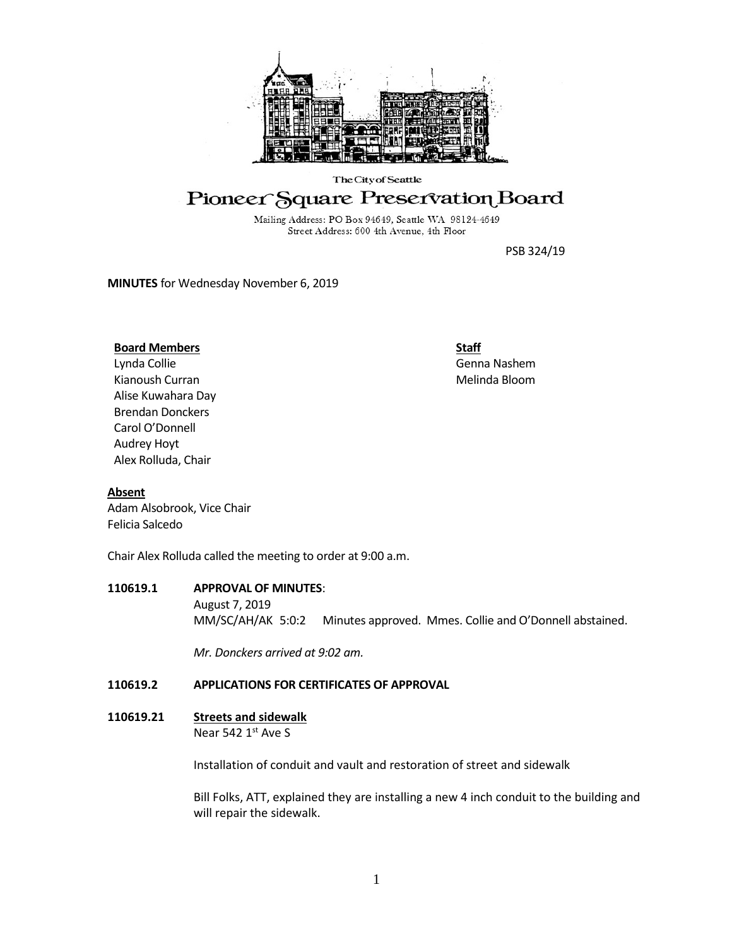

#### The City of Seattle

# Pioneer Square Preservation Board

Mailing Address: PO Box 94649, Seattle WA 98124-4649 Street Address: 600 4th Avenue, 4th Floor

PSB 324/19

**MINUTES** for Wednesday November 6, 2019

#### **Board Members**

Lynda Collie Kianoush Curran Alise Kuwahara Day Brendan Donckers Carol O'Donnell Audrey Hoyt Alex Rolluda, Chair

**Staff**

Genna Nashem Melinda Bloom

# **Absent**

Adam Alsobrook, Vice Chair Felicia Salcedo

Chair Alex Rolluda called the meeting to order at 9:00 a.m.

# **110619.1 APPROVAL OF MINUTES**:

August 7, 2019 MM/SC/AH/AK 5:0:2 Minutes approved. Mmes. Collie and O'Donnell abstained.

*Mr. Donckers arrived at 9:02 am.*

# **110619.2 APPLICATIONS FOR CERTIFICATES OF APPROVAL**

**110619.21 Streets and sidewalk** Near 542 1st Ave S

Installation of conduit and vault and restoration of street and sidewalk

Bill Folks, ATT, explained they are installing a new 4 inch conduit to the building and will repair the sidewalk.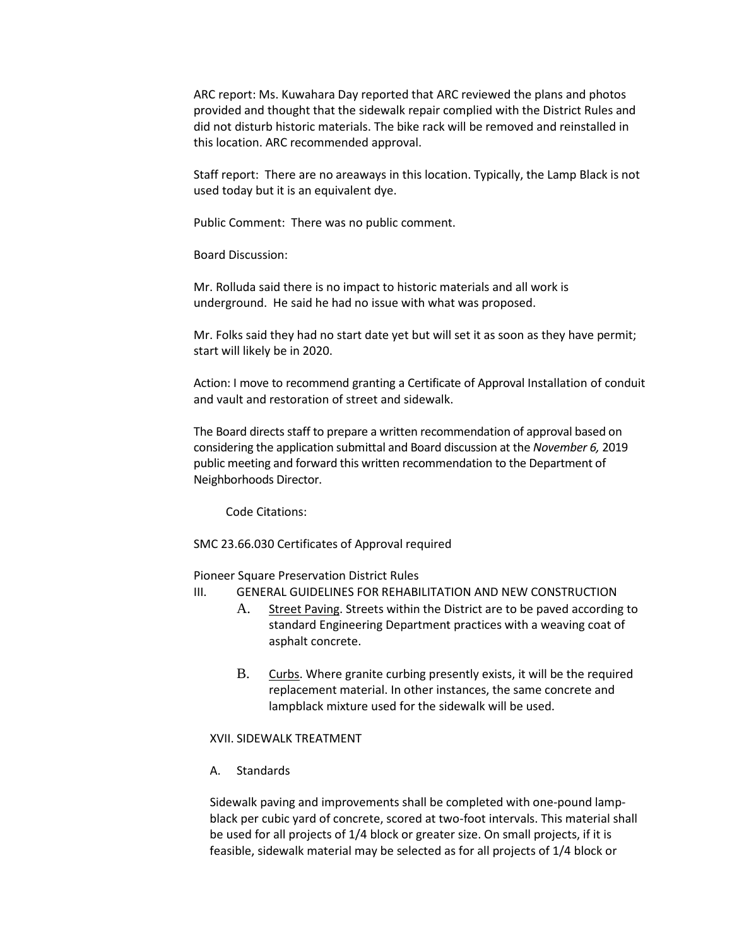ARC report: Ms. Kuwahara Day reported that ARC reviewed the plans and photos provided and thought that the sidewalk repair complied with the District Rules and did not disturb historic materials. The bike rack will be removed and reinstalled in this location. ARC recommended approval.

Staff report: There are no areaways in this location. Typically, the Lamp Black is not used today but it is an equivalent dye.

Public Comment: There was no public comment.

Board Discussion:

Mr. Rolluda said there is no impact to historic materials and all work is underground. He said he had no issue with what was proposed.

Mr. Folks said they had no start date yet but will set it as soon as they have permit; start will likely be in 2020.

Action: I move to recommend granting a Certificate of Approval Installation of conduit and vault and restoration of street and sidewalk.

The Board directs staff to prepare a written recommendation of approval based on considering the application submittal and Board discussion at the *November 6,* 2019 public meeting and forward this written recommendation to the Department of Neighborhoods Director.

Code Citations:

SMC 23.66.030 Certificates of Approval required

Pioneer Square Preservation District Rules

III. GENERAL GUIDELINES FOR REHABILITATION AND NEW CONSTRUCTION

- A. Street Paving. Streets within the District are to be paved according to standard Engineering Department practices with a weaving coat of asphalt concrete.
- B. Curbs. Where granite curbing presently exists, it will be the required replacement material. In other instances, the same concrete and lampblack mixture used for the sidewalk will be used.

# XVII. SIDEWALK TREATMENT

A. Standards

Sidewalk paving and improvements shall be completed with one-pound lampblack per cubic yard of concrete, scored at two-foot intervals. This material shall be used for all projects of 1/4 block or greater size. On small projects, if it is feasible, sidewalk material may be selected as for all projects of 1/4 block or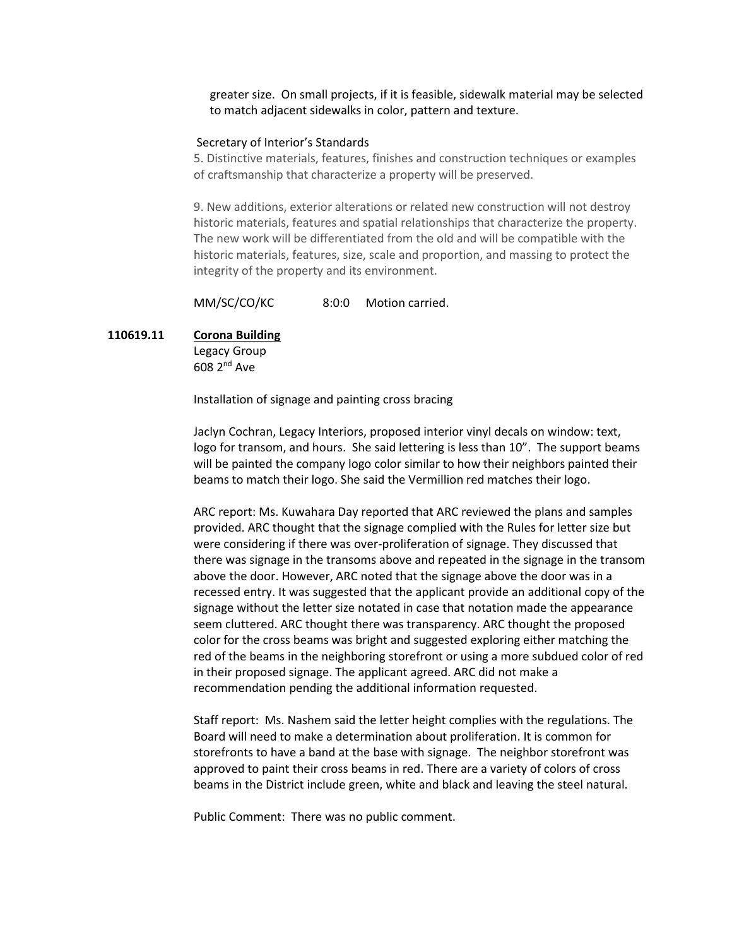greater size. On small projects, if it is feasible, sidewalk material may be selected to match adjacent sidewalks in color, pattern and texture.

#### Secretary of Interior's Standards

5. Distinctive materials, features, finishes and construction techniques or examples of craftsmanship that characterize a property will be preserved.

9. New additions, exterior alterations or related new construction will not destroy historic materials, features and spatial relationships that characterize the property. The new work will be differentiated from the old and will be compatible with the historic materials, features, size, scale and proportion, and massing to protect the integrity of the property and its environment.

MM/SC/CO/KC 8:0:0 Motion carried.

# **110619.11 Corona Building**

Legacy Group 608 2nd Ave

Installation of signage and painting cross bracing

Jaclyn Cochran, Legacy Interiors, proposed interior vinyl decals on window: text, logo for transom, and hours. She said lettering is less than 10". The support beams will be painted the company logo color similar to how their neighbors painted their beams to match their logo. She said the Vermillion red matches their logo.

ARC report: Ms. Kuwahara Day reported that ARC reviewed the plans and samples provided. ARC thought that the signage complied with the Rules for letter size but were considering if there was over-proliferation of signage. They discussed that there was signage in the transoms above and repeated in the signage in the transom above the door. However, ARC noted that the signage above the door was in a recessed entry. It was suggested that the applicant provide an additional copy of the signage without the letter size notated in case that notation made the appearance seem cluttered. ARC thought there was transparency. ARC thought the proposed color for the cross beams was bright and suggested exploring either matching the red of the beams in the neighboring storefront or using a more subdued color of red in their proposed signage. The applicant agreed. ARC did not make a recommendation pending the additional information requested.

Staff report: Ms. Nashem said the letter height complies with the regulations. The Board will need to make a determination about proliferation. It is common for storefronts to have a band at the base with signage. The neighbor storefront was approved to paint their cross beams in red. There are a variety of colors of cross beams in the District include green, white and black and leaving the steel natural.

Public Comment: There was no public comment.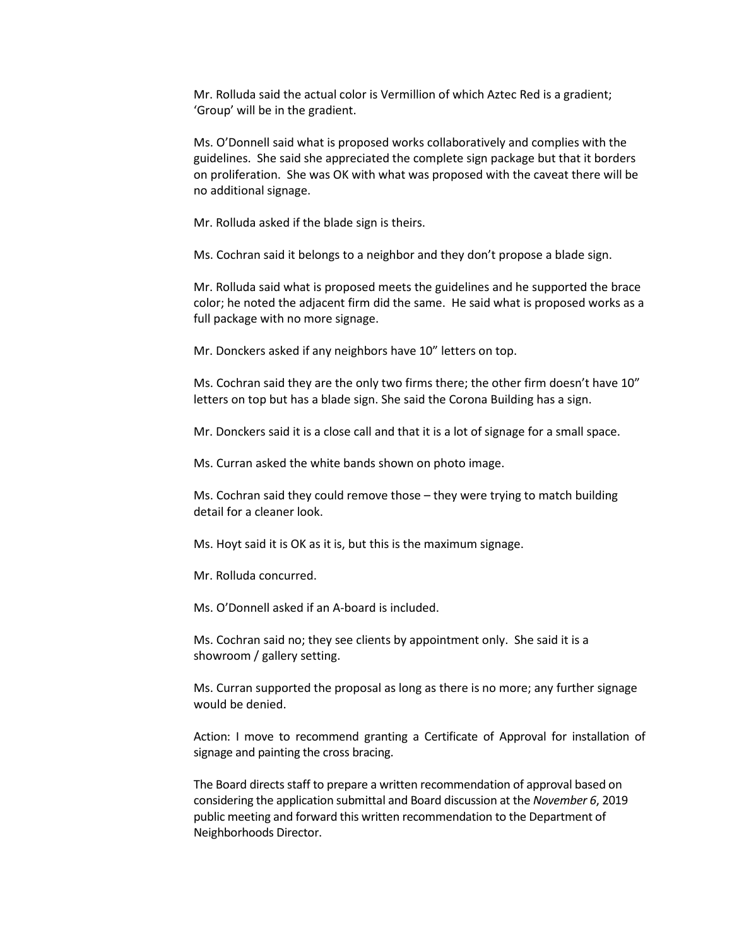Mr. Rolluda said the actual color is Vermillion of which Aztec Red is a gradient; 'Group' will be in the gradient.

Ms. O'Donnell said what is proposed works collaboratively and complies with the guidelines. She said she appreciated the complete sign package but that it borders on proliferation. She was OK with what was proposed with the caveat there will be no additional signage.

Mr. Rolluda asked if the blade sign is theirs.

Ms. Cochran said it belongs to a neighbor and they don't propose a blade sign.

Mr. Rolluda said what is proposed meets the guidelines and he supported the brace color; he noted the adjacent firm did the same. He said what is proposed works as a full package with no more signage.

Mr. Donckers asked if any neighbors have 10" letters on top.

Ms. Cochran said they are the only two firms there; the other firm doesn't have 10" letters on top but has a blade sign. She said the Corona Building has a sign.

Mr. Donckers said it is a close call and that it is a lot of signage for a small space.

Ms. Curran asked the white bands shown on photo image.

Ms. Cochran said they could remove those – they were trying to match building detail for a cleaner look.

Ms. Hoyt said it is OK as it is, but this is the maximum signage.

Mr. Rolluda concurred.

Ms. O'Donnell asked if an A-board is included.

Ms. Cochran said no; they see clients by appointment only. She said it is a showroom / gallery setting.

Ms. Curran supported the proposal as long as there is no more; any further signage would be denied.

Action: I move to recommend granting a Certificate of Approval for installation of signage and painting the cross bracing.

The Board directs staff to prepare a written recommendation of approval based on considering the application submittal and Board discussion at the *November 6*, 2019 public meeting and forward this written recommendation to the Department of Neighborhoods Director.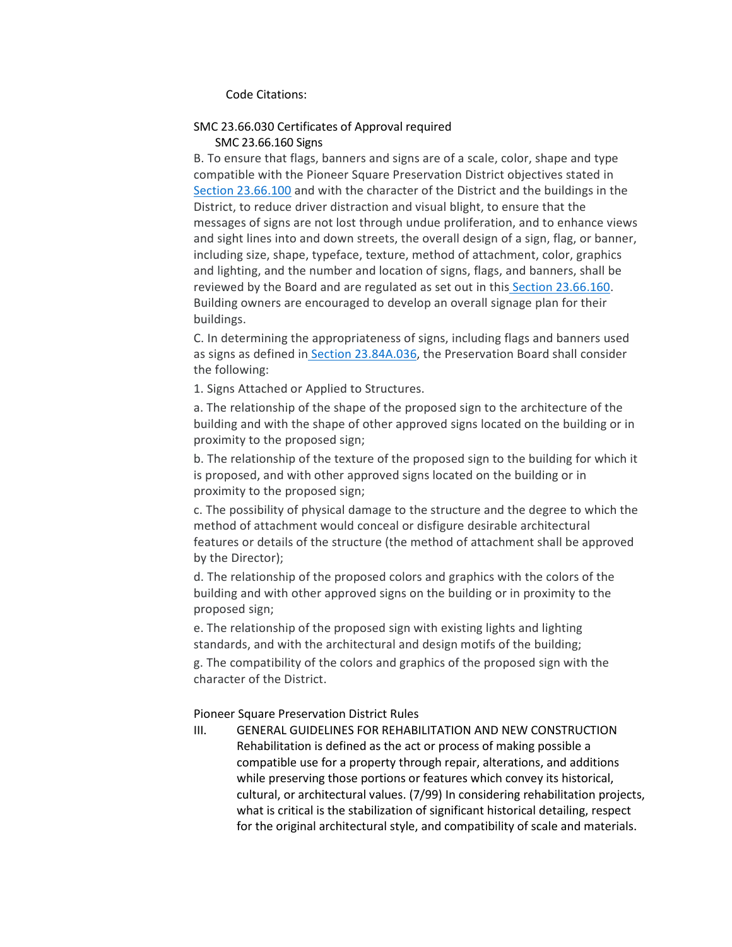#### Code Citations:

# SMC 23.66.030 Certificates of Approval required

# SMC 23.66.160 Signs

B. To ensure that flags, banners and signs are of a scale, color, shape and type compatible with the Pioneer Square Preservation District objectives stated i[n](https://library.municode.com/wa/seattle/codes/municipal_code?nodeId=TIT23LAUSCO_SUBTITLE_IIILAUSRE_CH23.66SPREDI_SUBCHAPTER_IIPISQPRDI_23.66.100CRDILEFIPU) [Section 23.66.100](https://library.municode.com/wa/seattle/codes/municipal_code?nodeId=TIT23LAUSCO_SUBTITLE_IIILAUSRE_CH23.66SPREDI_SUBCHAPTER_IIPISQPRDI_23.66.100CRDILEFIPU) and with the character of the District and the buildings in the District, to reduce driver distraction and visual blight, to ensure that the messages of signs are not lost through undue proliferation, and to enhance views and sight lines into and down streets, the overall design of a sign, flag, or banner, including size, shape, typeface, texture, method of attachment, color, graphics and lighting, and the number and location of signs, flags, and banners, shall be reviewed by the Board and are regulated as set out in this [Section 23.66.160.](https://library.municode.com/wa/seattle/codes/municipal_code?nodeId=TIT23LAUSCO_SUBTITLE_IIILAUSRE_CH23.66SPREDI_SUBCHAPTER_IIPISQPRDI_23.66.160SI) Building owners are encouraged to develop an overall signage plan for their buildings.

C. In determining the appropriateness of signs, including flags and banners used as signs as defined in [Section 23.84A.036,](https://library.municode.com/wa/seattle/codes/municipal_code?nodeId=TIT23LAUSCO_SUBTITLE_IVAD_CH23.84ADE_23.84A.036S) the Preservation Board shall consider the following:

1. Signs Attached or Applied to Structures.

a. The relationship of the shape of the proposed sign to the architecture of the building and with the shape of other approved signs located on the building or in proximity to the proposed sign;

b. The relationship of the texture of the proposed sign to the building for which it is proposed, and with other approved signs located on the building or in proximity to the proposed sign;

c. The possibility of physical damage to the structure and the degree to which the method of attachment would conceal or disfigure desirable architectural features or details of the structure (the method of attachment shall be approved by the Director);

d. The relationship of the proposed colors and graphics with the colors of the building and with other approved signs on the building or in proximity to the proposed sign;

e. The relationship of the proposed sign with existing lights and lighting standards, and with the architectural and design motifs of the building;

g. The compatibility of the colors and graphics of the proposed sign with the character of the District.

Pioneer Square Preservation District Rules

III. GENERAL GUIDELINES FOR REHABILITATION AND NEW CONSTRUCTION Rehabilitation is defined as the act or process of making possible a compatible use for a property through repair, alterations, and additions while preserving those portions or features which convey its historical, cultural, or architectural values. (7/99) In considering rehabilitation projects, what is critical is the stabilization of significant historical detailing, respect for the original architectural style, and compatibility of scale and materials.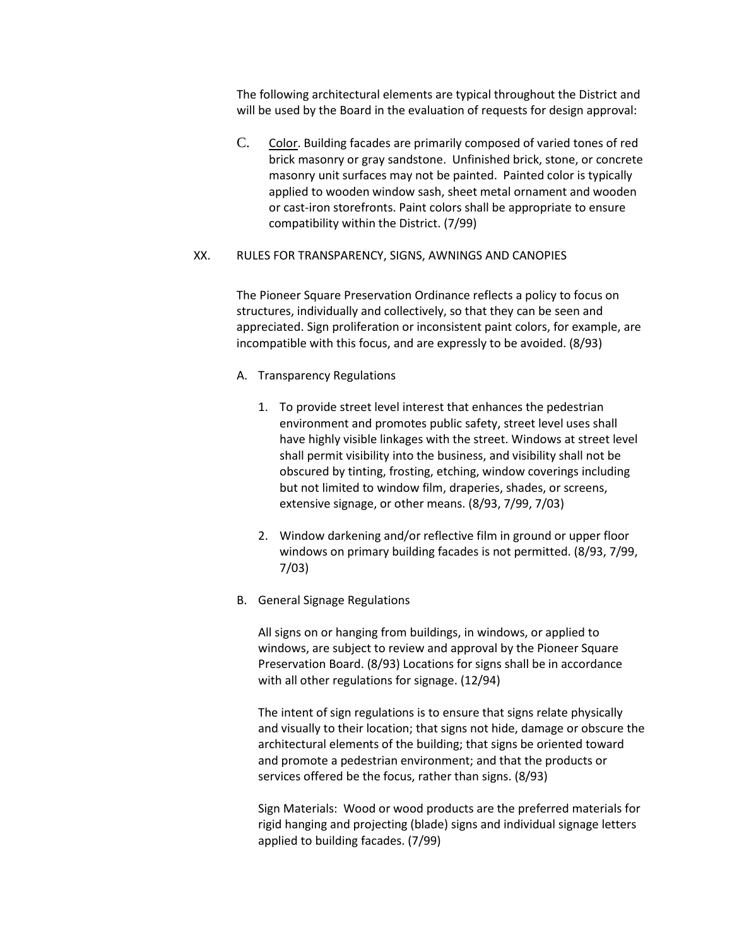The following architectural elements are typical throughout the District and will be used by the Board in the evaluation of requests for design approval:

C. Color. Building facades are primarily composed of varied tones of red brick masonry or gray sandstone. Unfinished brick, stone, or concrete masonry unit surfaces may not be painted. Painted color is typically applied to wooden window sash, sheet metal ornament and wooden or cast-iron storefronts. Paint colors shall be appropriate to ensure compatibility within the District. (7/99)

#### XX. RULES FOR TRANSPARENCY, SIGNS, AWNINGS AND CANOPIES

The Pioneer Square Preservation Ordinance reflects a policy to focus on structures, individually and collectively, so that they can be seen and appreciated. Sign proliferation or inconsistent paint colors, for example, are incompatible with this focus, and are expressly to be avoided. (8/93)

- A. Transparency Regulations
	- 1. To provide street level interest that enhances the pedestrian environment and promotes public safety, street level uses shall have highly visible linkages with the street. Windows at street level shall permit visibility into the business, and visibility shall not be obscured by tinting, frosting, etching, window coverings including but not limited to window film, draperies, shades, or screens, extensive signage, or other means. (8/93, 7/99, 7/03)
	- 2. Window darkening and/or reflective film in ground or upper floor windows on primary building facades is not permitted. (8/93, 7/99, 7/03)
- B. General Signage Regulations

All signs on or hanging from buildings, in windows, or applied to windows, are subject to review and approval by the Pioneer Square Preservation Board. (8/93) Locations for signs shall be in accordance with all other regulations for signage. (12/94)

The intent of sign regulations is to ensure that signs relate physically and visually to their location; that signs not hide, damage or obscure the architectural elements of the building; that signs be oriented toward and promote a pedestrian environment; and that the products or services offered be the focus, rather than signs. (8/93)

Sign Materials: Wood or wood products are the preferred materials for rigid hanging and projecting (blade) signs and individual signage letters applied to building facades. (7/99)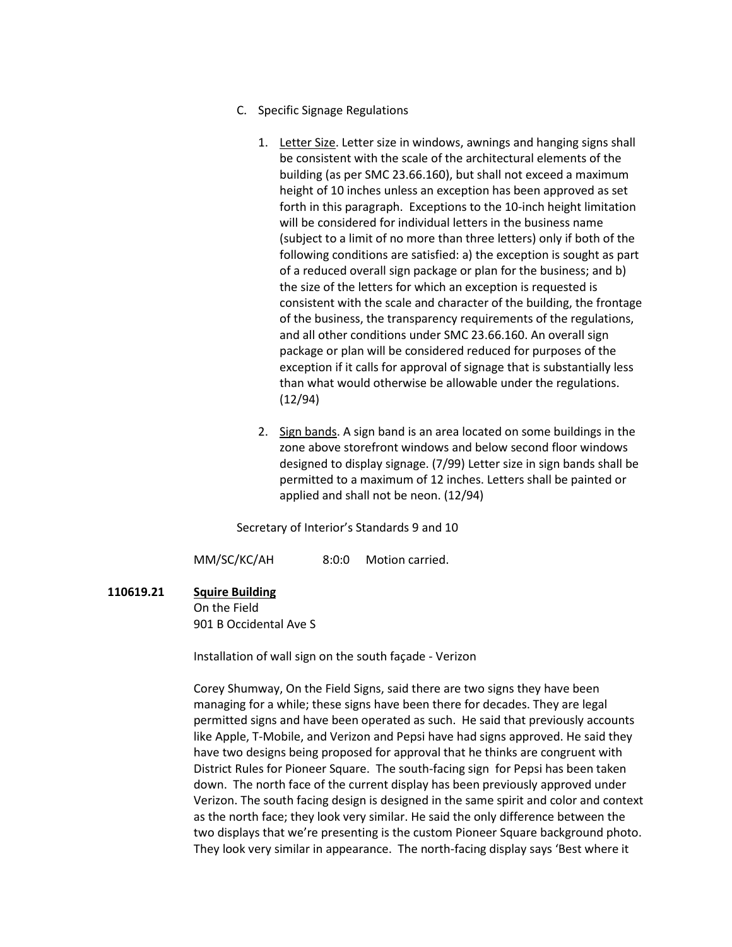- C. Specific Signage Regulations
	- 1. Letter Size. Letter size in windows, awnings and hanging signs shall be consistent with the scale of the architectural elements of the building (as per SMC 23.66.160), but shall not exceed a maximum height of 10 inches unless an exception has been approved as set forth in this paragraph. Exceptions to the 10-inch height limitation will be considered for individual letters in the business name (subject to a limit of no more than three letters) only if both of the following conditions are satisfied: a) the exception is sought as part of a reduced overall sign package or plan for the business; and b) the size of the letters for which an exception is requested is consistent with the scale and character of the building, the frontage of the business, the transparency requirements of the regulations, and all other conditions under SMC 23.66.160. An overall sign package or plan will be considered reduced for purposes of the exception if it calls for approval of signage that is substantially less than what would otherwise be allowable under the regulations. (12/94)
	- 2. Sign bands. A sign band is an area located on some buildings in the zone above storefront windows and below second floor windows designed to display signage. (7/99) Letter size in sign bands shall be permitted to a maximum of 12 inches. Letters shall be painted or applied and shall not be neon. (12/94)

Secretary of Interior's Standards 9 and 10

MM/SC/KC/AH 8:0:0 Motion carried.

# **110619.21 Squire Building**

On the Field 901 B Occidental Ave S

Installation of wall sign on the south façade - Verizon

Corey Shumway, On the Field Signs, said there are two signs they have been managing for a while; these signs have been there for decades. They are legal permitted signs and have been operated as such. He said that previously accounts like Apple, T-Mobile, and Verizon and Pepsi have had signs approved. He said they have two designs being proposed for approval that he thinks are congruent with District Rules for Pioneer Square. The south-facing sign for Pepsi has been taken down. The north face of the current display has been previously approved under Verizon. The south facing design is designed in the same spirit and color and context as the north face; they look very similar. He said the only difference between the two displays that we're presenting is the custom Pioneer Square background photo. They look very similar in appearance. The north-facing display says 'Best where it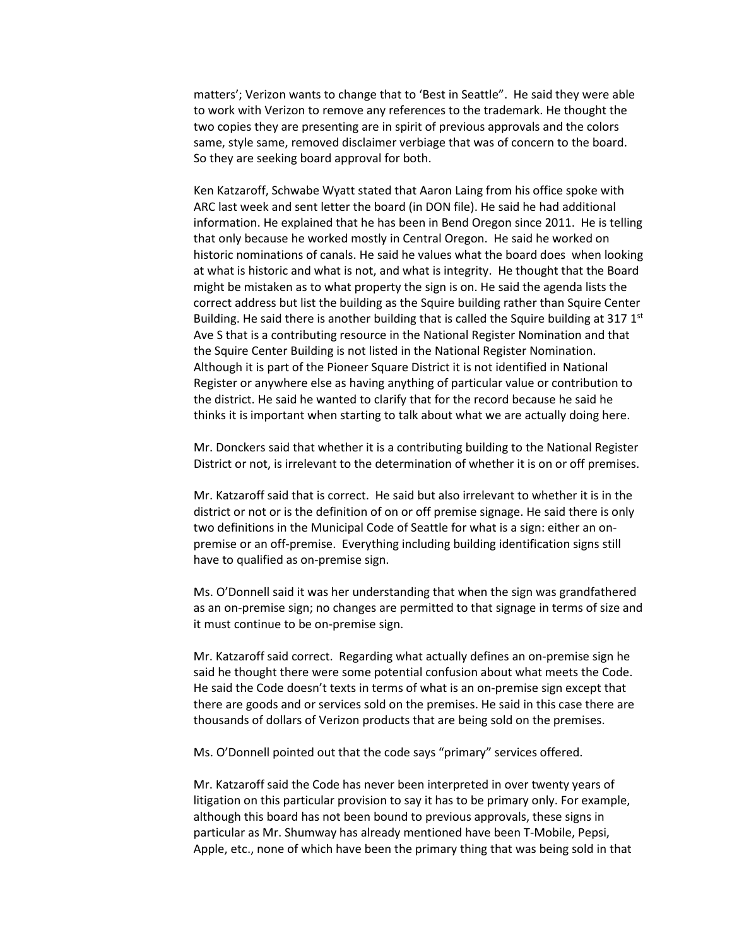matters'; Verizon wants to change that to 'Best in Seattle". He said they were able to work with Verizon to remove any references to the trademark. He thought the two copies they are presenting are in spirit of previous approvals and the colors same, style same, removed disclaimer verbiage that was of concern to the board. So they are seeking board approval for both.

Ken Katzaroff, Schwabe Wyatt stated that Aaron Laing from his office spoke with ARC last week and sent letter the board (in DON file). He said he had additional information. He explained that he has been in Bend Oregon since 2011. He is telling that only because he worked mostly in Central Oregon. He said he worked on historic nominations of canals. He said he values what the board does when looking at what is historic and what is not, and what is integrity. He thought that the Board might be mistaken as to what property the sign is on. He said the agenda lists the correct address but list the building as the Squire building rather than Squire Center Building. He said there is another building that is called the Squire building at 317  $1<sup>st</sup>$ Ave S that is a contributing resource in the National Register Nomination and that the Squire Center Building is not listed in the National Register Nomination. Although it is part of the Pioneer Square District it is not identified in National Register or anywhere else as having anything of particular value or contribution to the district. He said he wanted to clarify that for the record because he said he thinks it is important when starting to talk about what we are actually doing here.

Mr. Donckers said that whether it is a contributing building to the National Register District or not, is irrelevant to the determination of whether it is on or off premises.

Mr. Katzaroff said that is correct. He said but also irrelevant to whether it is in the district or not or is the definition of on or off premise signage. He said there is only two definitions in the Municipal Code of Seattle for what is a sign: either an onpremise or an off-premise. Everything including building identification signs still have to qualified as on-premise sign.

Ms. O'Donnell said it was her understanding that when the sign was grandfathered as an on-premise sign; no changes are permitted to that signage in terms of size and it must continue to be on-premise sign.

Mr. Katzaroff said correct. Regarding what actually defines an on-premise sign he said he thought there were some potential confusion about what meets the Code. He said the Code doesn't texts in terms of what is an on-premise sign except that there are goods and or services sold on the premises. He said in this case there are thousands of dollars of Verizon products that are being sold on the premises.

Ms. O'Donnell pointed out that the code says "primary" services offered.

Mr. Katzaroff said the Code has never been interpreted in over twenty years of litigation on this particular provision to say it has to be primary only. For example, although this board has not been bound to previous approvals, these signs in particular as Mr. Shumway has already mentioned have been T-Mobile, Pepsi, Apple, etc., none of which have been the primary thing that was being sold in that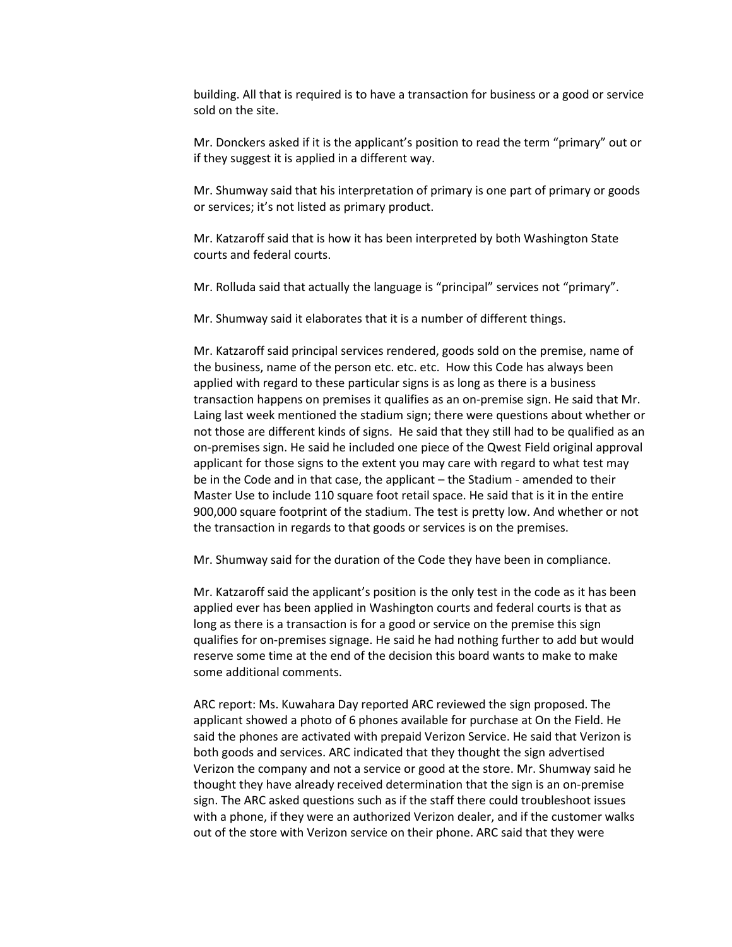building. All that is required is to have a transaction for business or a good or service sold on the site.

Mr. Donckers asked if it is the applicant's position to read the term "primary" out or if they suggest it is applied in a different way.

Mr. Shumway said that his interpretation of primary is one part of primary or goods or services; it's not listed as primary product.

Mr. Katzaroff said that is how it has been interpreted by both Washington State courts and federal courts.

Mr. Rolluda said that actually the language is "principal" services not "primary".

Mr. Shumway said it elaborates that it is a number of different things.

Mr. Katzaroff said principal services rendered, goods sold on the premise, name of the business, name of the person etc. etc. etc. How this Code has always been applied with regard to these particular signs is as long as there is a business transaction happens on premises it qualifies as an on-premise sign. He said that Mr. Laing last week mentioned the stadium sign; there were questions about whether or not those are different kinds of signs. He said that they still had to be qualified as an on-premises sign. He said he included one piece of the Qwest Field original approval applicant for those signs to the extent you may care with regard to what test may be in the Code and in that case, the applicant – the Stadium - amended to their Master Use to include 110 square foot retail space. He said that is it in the entire 900,000 square footprint of the stadium. The test is pretty low. And whether or not the transaction in regards to that goods or services is on the premises.

Mr. Shumway said for the duration of the Code they have been in compliance.

Mr. Katzaroff said the applicant's position is the only test in the code as it has been applied ever has been applied in Washington courts and federal courts is that as long as there is a transaction is for a good or service on the premise this sign qualifies for on-premises signage. He said he had nothing further to add but would reserve some time at the end of the decision this board wants to make to make some additional comments.

ARC report: Ms. Kuwahara Day reported ARC reviewed the sign proposed. The applicant showed a photo of 6 phones available for purchase at On the Field. He said the phones are activated with prepaid Verizon Service. He said that Verizon is both goods and services. ARC indicated that they thought the sign advertised Verizon the company and not a service or good at the store. Mr. Shumway said he thought they have already received determination that the sign is an on-premise sign. The ARC asked questions such as if the staff there could troubleshoot issues with a phone, if they were an authorized Verizon dealer, and if the customer walks out of the store with Verizon service on their phone. ARC said that they were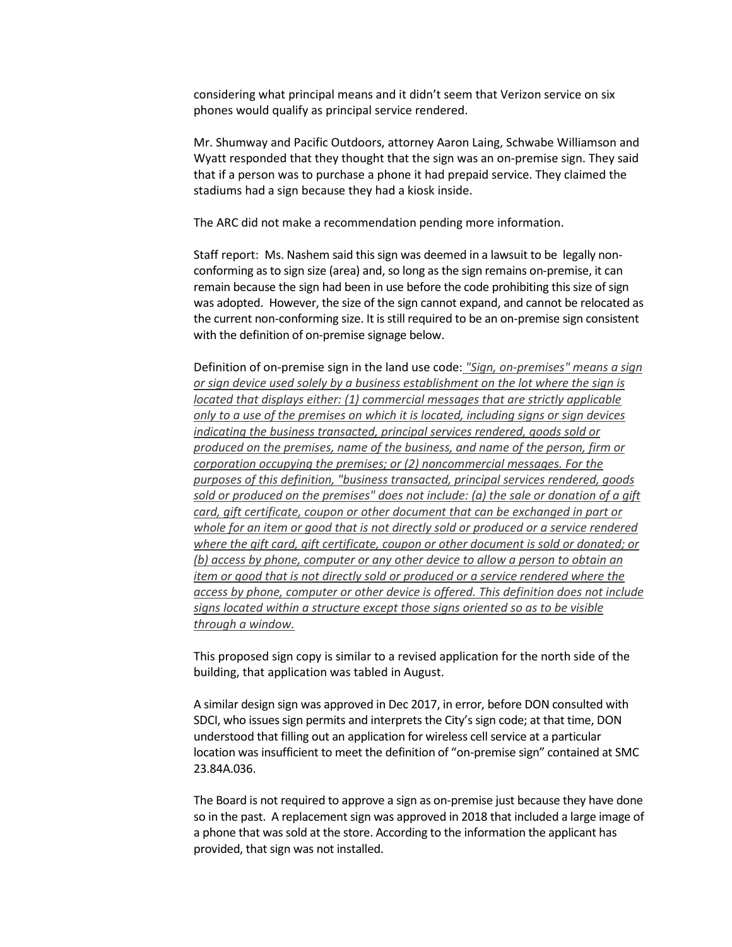considering what principal means and it didn't seem that Verizon service on six phones would qualify as principal service rendered.

Mr. Shumway and Pacific Outdoors, attorney Aaron Laing, Schwabe Williamson and Wyatt responded that they thought that the sign was an on-premise sign. They said that if a person was to purchase a phone it had prepaid service. They claimed the stadiums had a sign because they had a kiosk inside.

The ARC did not make a recommendation pending more information.

Staff report: Ms. Nashem said this sign was deemed in a lawsuit to be legally nonconforming as to sign size (area) and, so long as the sign remains on-premise, it can remain because the sign had been in use before the code prohibiting this size of sign was adopted. However, the size of the sign cannot expand, and cannot be relocated as the current non-conforming size. It is still required to be an on-premise sign consistent with the definition of on-premise signage below.

Definition of on-premise sign in the land use code: *"Sign, on-premises" means a sign or sign device used solely by a business establishment on the lot where the sign is located that displays either: (1) commercial messages that are strictly applicable only to a use of the premises on which it is located, including signs or sign devices indicating the business transacted, principal services rendered, goods sold or produced on the premises, name of the business, and name of the person, firm or corporation occupying the premises; or (2) noncommercial messages. For the purposes of this definition, "business transacted, principal services rendered, goods sold or produced on the premises" does not include: (a) the sale or donation of a gift card, gift certificate, coupon or other document that can be exchanged in part or whole for an item or good that is not directly sold or produced or a service rendered where the gift card, gift certificate, coupon or other document is sold or donated; or (b) access by phone, computer or any other device to allow a person to obtain an item or good that is not directly sold or produced or a service rendered where the access by phone, computer or other device is offered. This definition does not include signs located within a structure except those signs oriented so as to be visible through a window.*

This proposed sign copy is similar to a revised application for the north side of the building, that application was tabled in August.

A similar design sign was approved in Dec 2017, in error, before DON consulted with SDCI, who issues sign permits and interprets the City's sign code; at that time, DON understood that filling out an application for wireless cell service at a particular location was insufficient to meet the definition of "on-premise sign" contained at SMC 23.84A.036.

The Board is not required to approve a sign as on-premise just because they have done so in the past. A replacement sign was approved in 2018 that included a large image of a phone that was sold at the store. According to the information the applicant has provided, that sign was not installed.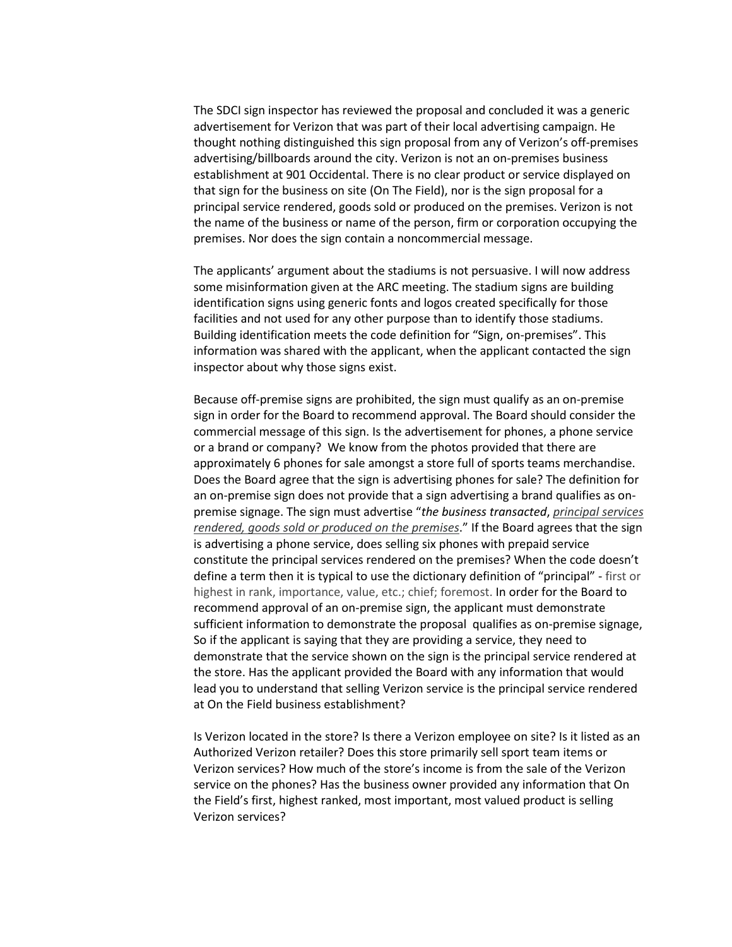The SDCI sign inspector has reviewed the proposal and concluded it was a generic advertisement for Verizon that was part of their local advertising campaign. He thought nothing distinguished this sign proposal from any of Verizon's off-premises advertising/billboards around the city. Verizon is not an on-premises business establishment at 901 Occidental. There is no clear product or service displayed on that sign for the business on site (On The Field), nor is the sign proposal for a principal service rendered, goods sold or produced on the premises. Verizon is not the name of the business or name of the person, firm or corporation occupying the premises. Nor does the sign contain a noncommercial message.

The applicants' argument about the stadiums is not persuasive. I will now address some misinformation given at the ARC meeting. The stadium signs are building identification signs using generic fonts and logos created specifically for those facilities and not used for any other purpose than to identify those stadiums. Building identification meets the code definition for "Sign, on-premises". This information was shared with the applicant, when the applicant contacted the sign inspector about why those signs exist.

Because off-premise signs are prohibited, the sign must qualify as an on-premise sign in order for the Board to recommend approval. The Board should consider the commercial message of this sign. Is the advertisement for phones, a phone service or a brand or company? We know from the photos provided that there are approximately 6 phones for sale amongst a store full of sports teams merchandise. Does the Board agree that the sign is advertising phones for sale? The definition for an on-premise sign does not provide that a sign advertising a brand qualifies as onpremise signage. The sign must advertise "*the business transacted*, *principal services rendered, goods sold or produced on the premises*." If the Board agrees that the sign is advertising a phone service, does selling six phones with prepaid service constitute the principal services rendered on the premises? When the code doesn't define a term then it is typical to use the dictionary definition of "principal" - first or highest in rank, importance, value, etc.; chief; foremost. In order for the Board to recommend approval of an on-premise sign, the applicant must demonstrate sufficient information to demonstrate the proposal qualifies as on-premise signage, So if the applicant is saying that they are providing a service, they need to demonstrate that the service shown on the sign is the principal service rendered at the store. Has the applicant provided the Board with any information that would lead you to understand that selling Verizon service is the principal service rendered at On the Field business establishment?

Is Verizon located in the store? Is there a Verizon employee on site? Is it listed as an Authorized Verizon retailer? Does this store primarily sell sport team items or Verizon services? How much of the store's income is from the sale of the Verizon service on the phones? Has the business owner provided any information that On the Field's first, highest ranked, most important, most valued product is selling Verizon services?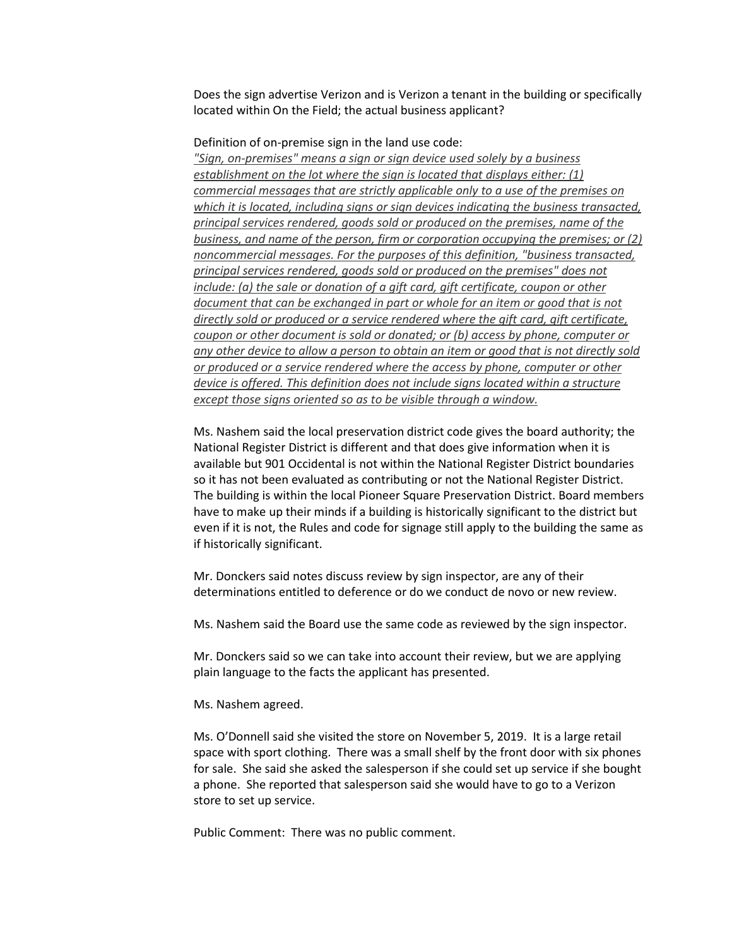Does the sign advertise Verizon and is Verizon a tenant in the building or specifically located within On the Field; the actual business applicant?

Definition of on-premise sign in the land use code:

*"Sign, on-premises" means a sign or sign device used solely by a business establishment on the lot where the sign is located that displays either: (1) commercial messages that are strictly applicable only to a use of the premises on which it is located, including signs or sign devices indicating the business transacted, principal services rendered, goods sold or produced on the premises, name of the business, and name of the person, firm or corporation occupying the premises; or (2) noncommercial messages. For the purposes of this definition, "business transacted, principal services rendered, goods sold or produced on the premises" does not include: (a) the sale or donation of a gift card, gift certificate, coupon or other document that can be exchanged in part or whole for an item or good that is not directly sold or produced or a service rendered where the gift card, gift certificate, coupon or other document is sold or donated; or (b) access by phone, computer or any other device to allow a person to obtain an item or good that is not directly sold or produced or a service rendered where the access by phone, computer or other device is offered. This definition does not include signs located within a structure except those signs oriented so as to be visible through a window.*

Ms. Nashem said the local preservation district code gives the board authority; the National Register District is different and that does give information when it is available but 901 Occidental is not within the National Register District boundaries so it has not been evaluated as contributing or not the National Register District. The building is within the local Pioneer Square Preservation District. Board members have to make up their minds if a building is historically significant to the district but even if it is not, the Rules and code for signage still apply to the building the same as if historically significant.

Mr. Donckers said notes discuss review by sign inspector, are any of their determinations entitled to deference or do we conduct de novo or new review.

Ms. Nashem said the Board use the same code as reviewed by the sign inspector.

Mr. Donckers said so we can take into account their review, but we are applying plain language to the facts the applicant has presented.

Ms. Nashem agreed.

Ms. O'Donnell said she visited the store on November 5, 2019. It is a large retail space with sport clothing. There was a small shelf by the front door with six phones for sale. She said she asked the salesperson if she could set up service if she bought a phone. She reported that salesperson said she would have to go to a Verizon store to set up service.

Public Comment: There was no public comment.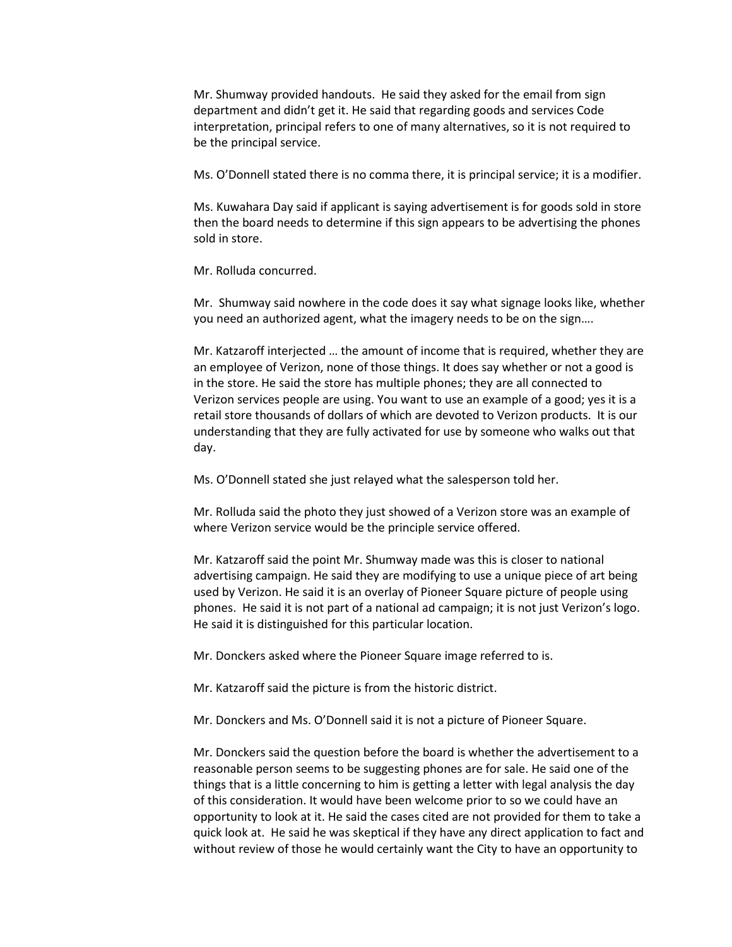Mr. Shumway provided handouts. He said they asked for the email from sign department and didn't get it. He said that regarding goods and services Code interpretation, principal refers to one of many alternatives, so it is not required to be the principal service.

Ms. O'Donnell stated there is no comma there, it is principal service; it is a modifier.

Ms. Kuwahara Day said if applicant is saying advertisement is for goods sold in store then the board needs to determine if this sign appears to be advertising the phones sold in store.

Mr. Rolluda concurred.

Mr. Shumway said nowhere in the code does it say what signage looks like, whether you need an authorized agent, what the imagery needs to be on the sign….

Mr. Katzaroff interjected … the amount of income that is required, whether they are an employee of Verizon, none of those things. It does say whether or not a good is in the store. He said the store has multiple phones; they are all connected to Verizon services people are using. You want to use an example of a good; yes it is a retail store thousands of dollars of which are devoted to Verizon products. It is our understanding that they are fully activated for use by someone who walks out that day.

Ms. O'Donnell stated she just relayed what the salesperson told her.

Mr. Rolluda said the photo they just showed of a Verizon store was an example of where Verizon service would be the principle service offered.

Mr. Katzaroff said the point Mr. Shumway made was this is closer to national advertising campaign. He said they are modifying to use a unique piece of art being used by Verizon. He said it is an overlay of Pioneer Square picture of people using phones. He said it is not part of a national ad campaign; it is not just Verizon's logo. He said it is distinguished for this particular location.

Mr. Donckers asked where the Pioneer Square image referred to is.

Mr. Katzaroff said the picture is from the historic district.

Mr. Donckers and Ms. O'Donnell said it is not a picture of Pioneer Square.

Mr. Donckers said the question before the board is whether the advertisement to a reasonable person seems to be suggesting phones are for sale. He said one of the things that is a little concerning to him is getting a letter with legal analysis the day of this consideration. It would have been welcome prior to so we could have an opportunity to look at it. He said the cases cited are not provided for them to take a quick look at. He said he was skeptical if they have any direct application to fact and without review of those he would certainly want the City to have an opportunity to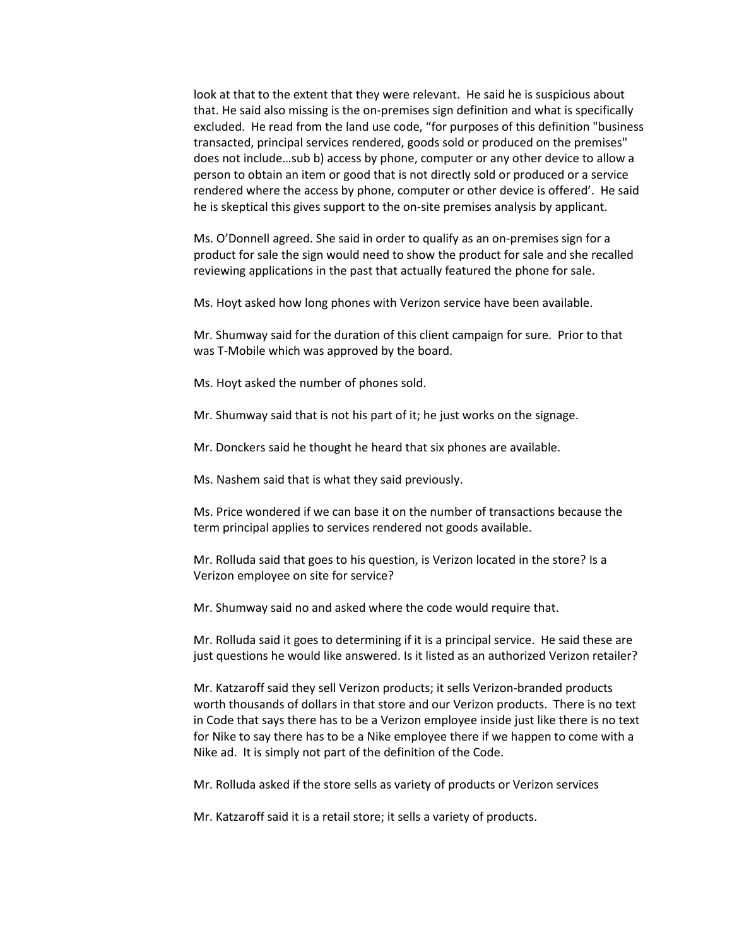look at that to the extent that they were relevant. He said he is suspicious about that. He said also missing is the on-premises sign definition and what is specifically excluded. He read from the land use code, "for purposes of this definition "business transacted, principal services rendered, goods sold or produced on the premises" does not include…sub b) access by phone, computer or any other device to allow a person to obtain an item or good that is not directly sold or produced or a service rendered where the access by phone, computer or other device is offered'. He said he is skeptical this gives support to the on-site premises analysis by applicant.

Ms. O'Donnell agreed. She said in order to qualify as an on-premises sign for a product for sale the sign would need to show the product for sale and she recalled reviewing applications in the past that actually featured the phone for sale.

Ms. Hoyt asked how long phones with Verizon service have been available.

Mr. Shumway said for the duration of this client campaign for sure. Prior to that was T-Mobile which was approved by the board.

Ms. Hoyt asked the number of phones sold.

Mr. Shumway said that is not his part of it; he just works on the signage.

Mr. Donckers said he thought he heard that six phones are available.

Ms. Nashem said that is what they said previously.

Ms. Price wondered if we can base it on the number of transactions because the term principal applies to services rendered not goods available.

Mr. Rolluda said that goes to his question, is Verizon located in the store? Is a Verizon employee on site for service?

Mr. Shumway said no and asked where the code would require that.

Mr. Rolluda said it goes to determining if it is a principal service. He said these are just questions he would like answered. Is it listed as an authorized Verizon retailer?

Mr. Katzaroff said they sell Verizon products; it sells Verizon-branded products worth thousands of dollars in that store and our Verizon products. There is no text in Code that says there has to be a Verizon employee inside just like there is no text for Nike to say there has to be a Nike employee there if we happen to come with a Nike ad. It is simply not part of the definition of the Code.

Mr. Rolluda asked if the store sells as variety of products or Verizon services

Mr. Katzaroff said it is a retail store; it sells a variety of products.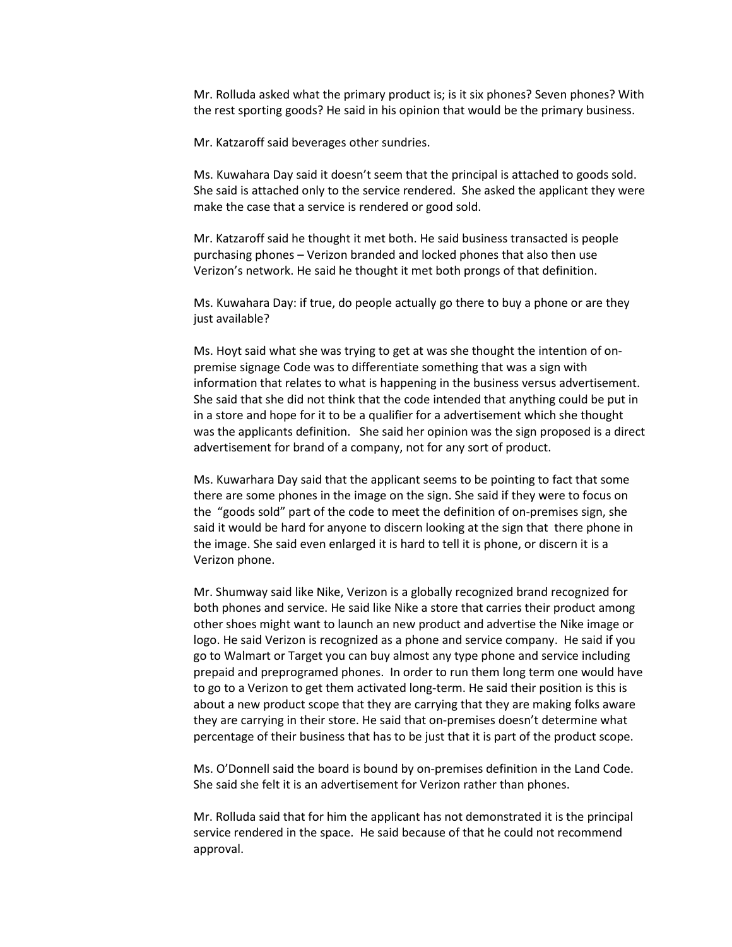Mr. Rolluda asked what the primary product is; is it six phones? Seven phones? With the rest sporting goods? He said in his opinion that would be the primary business.

Mr. Katzaroff said beverages other sundries.

Ms. Kuwahara Day said it doesn't seem that the principal is attached to goods sold. She said is attached only to the service rendered. She asked the applicant they were make the case that a service is rendered or good sold.

Mr. Katzaroff said he thought it met both. He said business transacted is people purchasing phones – Verizon branded and locked phones that also then use Verizon's network. He said he thought it met both prongs of that definition.

Ms. Kuwahara Day: if true, do people actually go there to buy a phone or are they just available?

Ms. Hoyt said what she was trying to get at was she thought the intention of onpremise signage Code was to differentiate something that was a sign with information that relates to what is happening in the business versus advertisement. She said that she did not think that the code intended that anything could be put in in a store and hope for it to be a qualifier for a advertisement which she thought was the applicants definition. She said her opinion was the sign proposed is a direct advertisement for brand of a company, not for any sort of product.

Ms. Kuwarhara Day said that the applicant seems to be pointing to fact that some there are some phones in the image on the sign. She said if they were to focus on the "goods sold" part of the code to meet the definition of on-premises sign, she said it would be hard for anyone to discern looking at the sign that there phone in the image. She said even enlarged it is hard to tell it is phone, or discern it is a Verizon phone.

Mr. Shumway said like Nike, Verizon is a globally recognized brand recognized for both phones and service. He said like Nike a store that carries their product among other shoes might want to launch an new product and advertise the Nike image or logo. He said Verizon is recognized as a phone and service company. He said if you go to Walmart or Target you can buy almost any type phone and service including prepaid and preprogramed phones. In order to run them long term one would have to go to a Verizon to get them activated long-term. He said their position is this is about a new product scope that they are carrying that they are making folks aware they are carrying in their store. He said that on-premises doesn't determine what percentage of their business that has to be just that it is part of the product scope.

Ms. O'Donnell said the board is bound by on-premises definition in the Land Code. She said she felt it is an advertisement for Verizon rather than phones.

Mr. Rolluda said that for him the applicant has not demonstrated it is the principal service rendered in the space. He said because of that he could not recommend approval.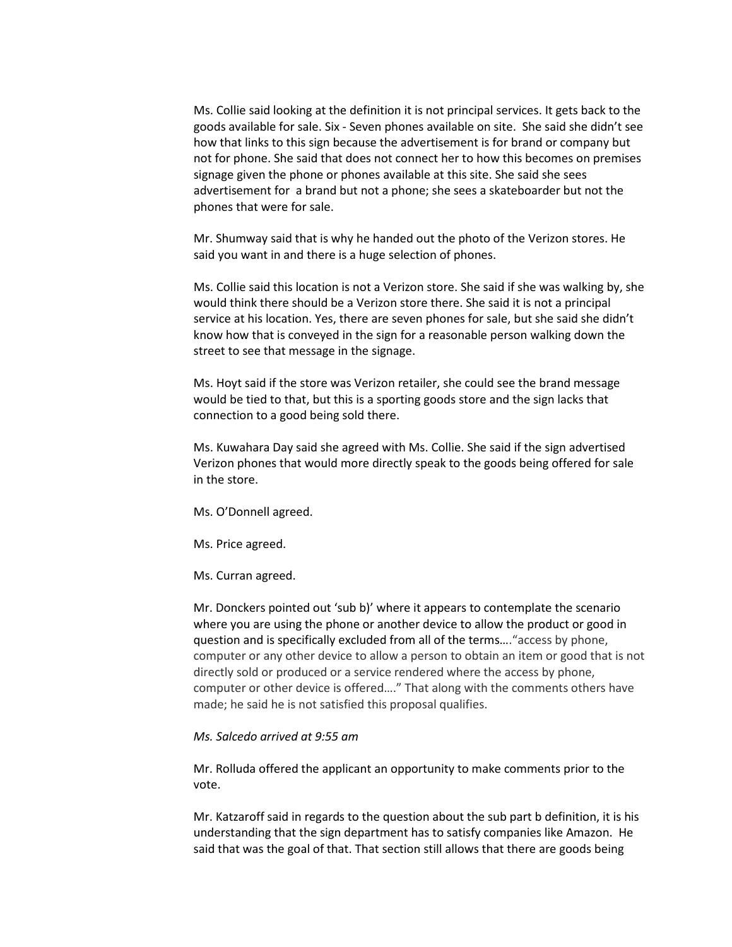Ms. Collie said looking at the definition it is not principal services. It gets back to the goods available for sale. Six - Seven phones available on site. She said she didn't see how that links to this sign because the advertisement is for brand or company but not for phone. She said that does not connect her to how this becomes on premises signage given the phone or phones available at this site. She said she sees advertisement for a brand but not a phone; she sees a skateboarder but not the phones that were for sale.

Mr. Shumway said that is why he handed out the photo of the Verizon stores. He said you want in and there is a huge selection of phones.

Ms. Collie said this location is not a Verizon store. She said if she was walking by, she would think there should be a Verizon store there. She said it is not a principal service at his location. Yes, there are seven phones for sale, but she said she didn't know how that is conveyed in the sign for a reasonable person walking down the street to see that message in the signage.

Ms. Hoyt said if the store was Verizon retailer, she could see the brand message would be tied to that, but this is a sporting goods store and the sign lacks that connection to a good being sold there.

Ms. Kuwahara Day said she agreed with Ms. Collie. She said if the sign advertised Verizon phones that would more directly speak to the goods being offered for sale in the store.

Ms. O'Donnell agreed.

Ms. Price agreed.

Ms. Curran agreed.

Mr. Donckers pointed out 'sub b)' where it appears to contemplate the scenario where you are using the phone or another device to allow the product or good in question and is specifically excluded from all of the terms…."access by phone, computer or any other device to allow a person to obtain an item or good that is not directly sold or produced or a service rendered where the access by phone, computer or other device is offered…." That along with the comments others have made; he said he is not satisfied this proposal qualifies.

# *Ms. Salcedo arrived at 9:55 am*

Mr. Rolluda offered the applicant an opportunity to make comments prior to the vote.

Mr. Katzaroff said in regards to the question about the sub part b definition, it is his understanding that the sign department has to satisfy companies like Amazon. He said that was the goal of that. That section still allows that there are goods being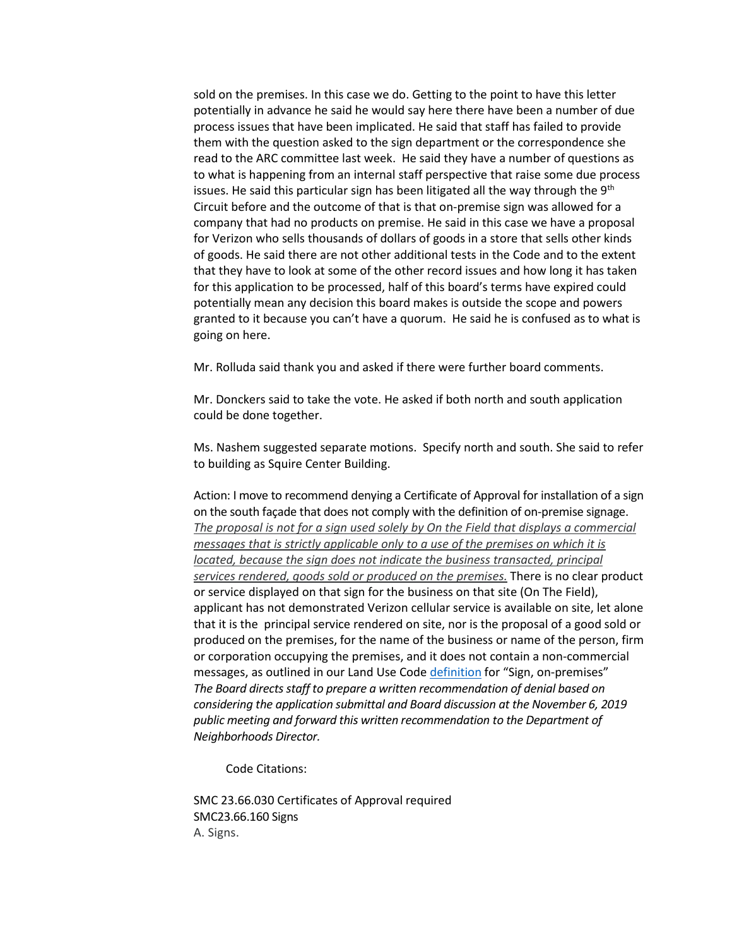sold on the premises. In this case we do. Getting to the point to have this letter potentially in advance he said he would say here there have been a number of due process issues that have been implicated. He said that staff has failed to provide them with the question asked to the sign department or the correspondence she read to the ARC committee last week. He said they have a number of questions as to what is happening from an internal staff perspective that raise some due process issues. He said this particular sign has been litigated all the way through the  $9<sup>th</sup>$ Circuit before and the outcome of that is that on-premise sign was allowed for a company that had no products on premise. He said in this case we have a proposal for Verizon who sells thousands of dollars of goods in a store that sells other kinds of goods. He said there are not other additional tests in the Code and to the extent that they have to look at some of the other record issues and how long it has taken for this application to be processed, half of this board's terms have expired could potentially mean any decision this board makes is outside the scope and powers granted to it because you can't have a quorum. He said he is confused as to what is going on here.

Mr. Rolluda said thank you and asked if there were further board comments.

Mr. Donckers said to take the vote. He asked if both north and south application could be done together.

Ms. Nashem suggested separate motions. Specify north and south. She said to refer to building as Squire Center Building.

Action: I move to recommend denying a Certificate of Approval for installation of a sign on the south façade that does not comply with the definition of on-premise signage. *The proposal is not for a sign used solely by On the Field that displays a commercial messages that is strictly applicable only to a use of the premises on which it is located, because the sign does not indicate the business transacted, principal services rendered, goods sold or produced on the premises.* There is no clear product or service displayed on that sign for the business on that site (On The Field), applicant has not demonstrated Verizon cellular service is available on site, let alone that it is the principal service rendered on site, nor is the proposal of a good sold or produced on the premises, for the name of the business or name of the person, firm or corporation occupying the premises, and it does not contain a non-commercial messages, as outlined in our Land Use Cod[e definition](https://library.municode.com/wa/seattle/codes/municipal_code?nodeId=TIT23LAUSCO_SUBTITLE_IVAD_CH23.84ADE_23.84A.036S) for "Sign, on-premises" *The Board directs staff to prepare a written recommendation of denial based on considering the application submittal and Board discussion at the November 6, 2019 public meeting and forward this written recommendation to the Department of Neighborhoods Director.* 

Code Citations:

SMC 23.66.030 Certificates of Approval required SMC23.66.160 Signs A. Signs.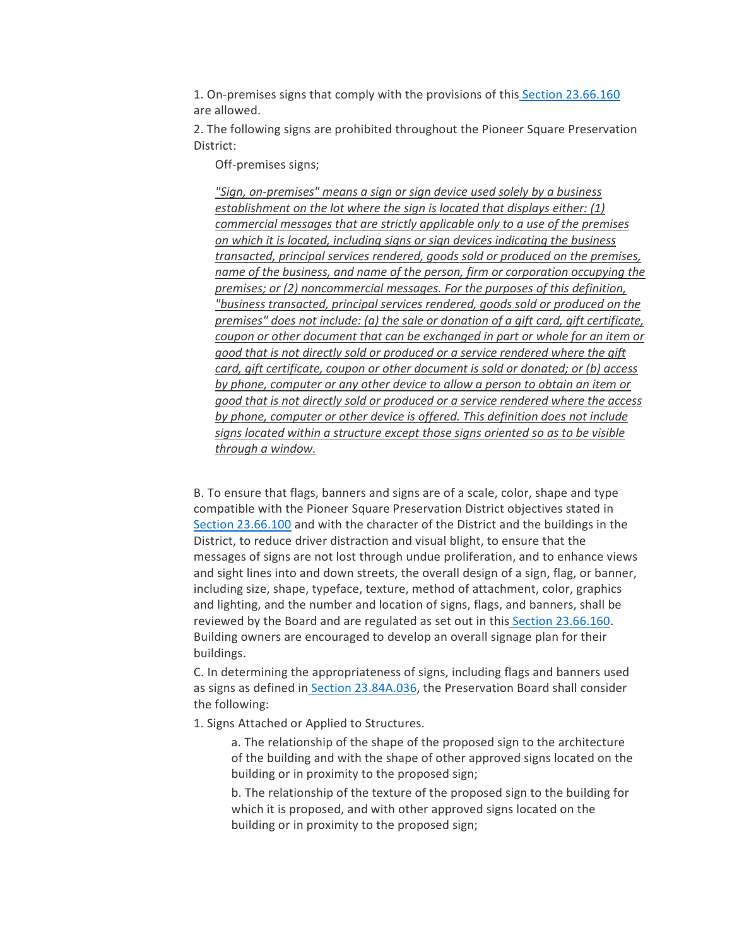1. On-premises signs that comply with the provisions of this [Section 23.66.160](https://library.municode.com/wa/seattle/codes/municipal_code?nodeId=TIT23LAUSCO_SUBTITLE_IIILAUSRE_CH23.66SPREDI_SUBCHAPTER_IIPISQPRDI_23.66.160SI) are allowed.

2. The following signs are prohibited throughout the Pioneer Square Preservation District:

Off-premises signs;

*"Sign, on-premises" means a sign or sign device used solely by a business establishment on the lot where the sign is located that displays either: (1) commercial messages that are strictly applicable only to a use of the premises on which it is located, including signs or sign devices indicating the business transacted, principal services rendered, goods sold or produced on the premises, name of the business, and name of the person, firm or corporation occupying the premises; or (2) noncommercial messages. For the purposes of this definition, "business transacted, principal services rendered, goods sold or produced on the premises" does not include: (a) the sale or donation of a gift card, gift certificate, coupon or other document that can be exchanged in part or whole for an item or good that is not directly sold or produced or a service rendered where the gift card, gift certificate, coupon or other document is sold or donated; or (b) access by phone, computer or any other device to allow a person to obtain an item or good that is not directly sold or produced or a service rendered where the access by phone, computer or other device is offered. This definition does not include signs located within a structure except those signs oriented so as to be visible through a window.*

B. To ensure that flags, banners and signs are of a scale, color, shape and type compatible with the Pioneer Square Preservation District objectives stated i[n](https://library.municode.com/wa/seattle/codes/municipal_code?nodeId=TIT23LAUSCO_SUBTITLE_IIILAUSRE_CH23.66SPREDI_SUBCHAPTER_IIPISQPRDI_23.66.100CRDILEFIPU) [Section 23.66.100](https://library.municode.com/wa/seattle/codes/municipal_code?nodeId=TIT23LAUSCO_SUBTITLE_IIILAUSRE_CH23.66SPREDI_SUBCHAPTER_IIPISQPRDI_23.66.100CRDILEFIPU) and with the character of the District and the buildings in the District, to reduce driver distraction and visual blight, to ensure that the messages of signs are not lost through undue proliferation, and to enhance views and sight lines into and down streets, the overall design of a sign, flag, or banner, including size, shape, typeface, texture, method of attachment, color, graphics and lighting, and the number and location of signs, flags, and banners, shall be reviewed by the Board and are regulated as set out in this [Section 23.66.160.](https://library.municode.com/wa/seattle/codes/municipal_code?nodeId=TIT23LAUSCO_SUBTITLE_IIILAUSRE_CH23.66SPREDI_SUBCHAPTER_IIPISQPRDI_23.66.160SI) Building owners are encouraged to develop an overall signage plan for their buildings.

C. In determining the appropriateness of signs, including flags and banners used as signs as defined in [Section 23.84A.036,](https://library.municode.com/wa/seattle/codes/municipal_code?nodeId=TIT23LAUSCO_SUBTITLE_IVAD_CH23.84ADE_23.84A.036S) the Preservation Board shall consider the following:

1. Signs Attached or Applied to Structures.

a. The relationship of the shape of the proposed sign to the architecture of the building and with the shape of other approved signs located on the building or in proximity to the proposed sign;

b. The relationship of the texture of the proposed sign to the building for which it is proposed, and with other approved signs located on the building or in proximity to the proposed sign;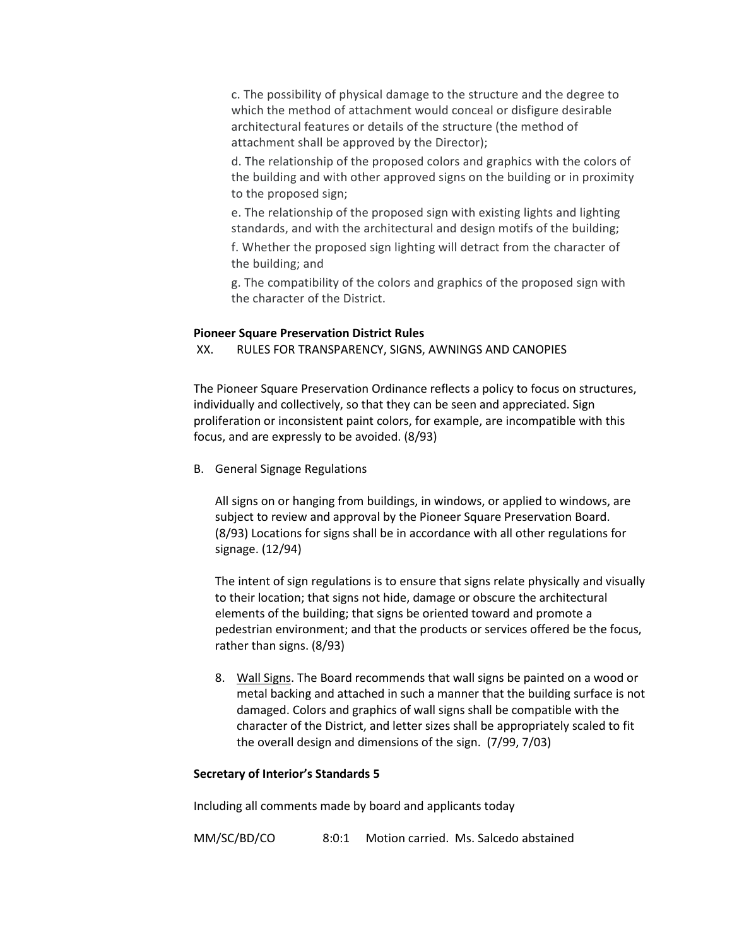c. The possibility of physical damage to the structure and the degree to which the method of attachment would conceal or disfigure desirable architectural features or details of the structure (the method of attachment shall be approved by the Director);

d. The relationship of the proposed colors and graphics with the colors of the building and with other approved signs on the building or in proximity to the proposed sign;

e. The relationship of the proposed sign with existing lights and lighting standards, and with the architectural and design motifs of the building;

f. Whether the proposed sign lighting will detract from the character of the building; and

g. The compatibility of the colors and graphics of the proposed sign with the character of the District.

# **Pioneer Square Preservation District Rules**

XX. RULES FOR TRANSPARENCY, SIGNS, AWNINGS AND CANOPIES

The Pioneer Square Preservation Ordinance reflects a policy to focus on structures, individually and collectively, so that they can be seen and appreciated. Sign proliferation or inconsistent paint colors, for example, are incompatible with this focus, and are expressly to be avoided. (8/93)

B. General Signage Regulations

All signs on or hanging from buildings, in windows, or applied to windows, are subject to review and approval by the Pioneer Square Preservation Board. (8/93) Locations for signs shall be in accordance with all other regulations for signage. (12/94)

The intent of sign regulations is to ensure that signs relate physically and visually to their location; that signs not hide, damage or obscure the architectural elements of the building; that signs be oriented toward and promote a pedestrian environment; and that the products or services offered be the focus, rather than signs. (8/93)

8. Wall Signs. The Board recommends that wall signs be painted on a wood or metal backing and attached in such a manner that the building surface is not damaged. Colors and graphics of wall signs shall be compatible with the character of the District, and letter sizes shall be appropriately scaled to fit the overall design and dimensions of the sign. (7/99, 7/03)

# **Secretary of Interior's Standards 5**

Including all comments made by board and applicants today

MM/SC/BD/CO 8:0:1 Motion carried. Ms. Salcedo abstained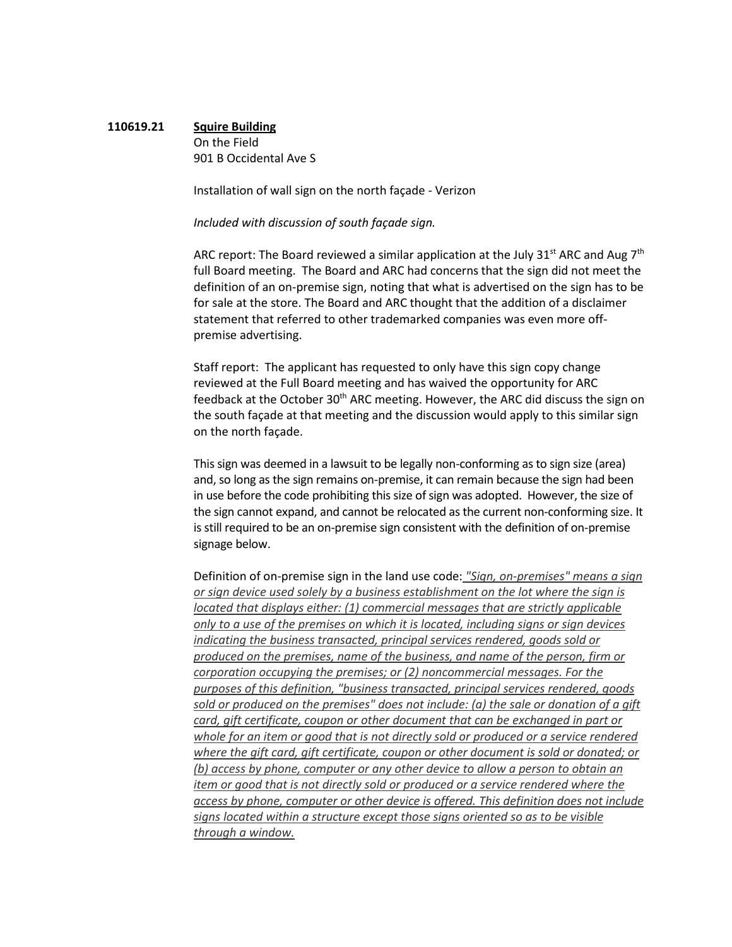# **110619.21 Squire Building** On the Field 901 B Occidental Ave S

Installation of wall sign on the north façade - Verizon

*Included with discussion of south façade sign.*

ARC report: The Board reviewed a similar application at the July 31<sup>st</sup> ARC and Aug  $7<sup>th</sup>$ full Board meeting. The Board and ARC had concerns that the sign did not meet the definition of an on-premise sign, noting that what is advertised on the sign has to be for sale at the store. The Board and ARC thought that the addition of a disclaimer statement that referred to other trademarked companies was even more offpremise advertising.

Staff report: The applicant has requested to only have this sign copy change reviewed at the Full Board meeting and has waived the opportunity for ARC feedback at the October 30<sup>th</sup> ARC meeting. However, the ARC did discuss the sign on the south façade at that meeting and the discussion would apply to this similar sign on the north façade.

This sign was deemed in a lawsuit to be legally non-conforming as to sign size (area) and, so long as the sign remains on-premise, it can remain because the sign had been in use before the code prohibiting this size of sign was adopted. However, the size of the sign cannot expand, and cannot be relocated as the current non-conforming size. It is still required to be an on-premise sign consistent with the definition of on-premise signage below.

Definition of on-premise sign in the land use code: *"Sign, on-premises" means a sign or sign device used solely by a business establishment on the lot where the sign is located that displays either: (1) commercial messages that are strictly applicable only to a use of the premises on which it is located, including signs or sign devices indicating the business transacted, principal services rendered, goods sold or produced on the premises, name of the business, and name of the person, firm or corporation occupying the premises; or (2) noncommercial messages. For the purposes of this definition, "business transacted, principal services rendered, goods sold or produced on the premises" does not include: (a) the sale or donation of a gift card, gift certificate, coupon or other document that can be exchanged in part or whole for an item or good that is not directly sold or produced or a service rendered where the gift card, gift certificate, coupon or other document is sold or donated; or (b) access by phone, computer or any other device to allow a person to obtain an item or good that is not directly sold or produced or a service rendered where the access by phone, computer or other device is offered. This definition does not include signs located within a structure except those signs oriented so as to be visible through a window.*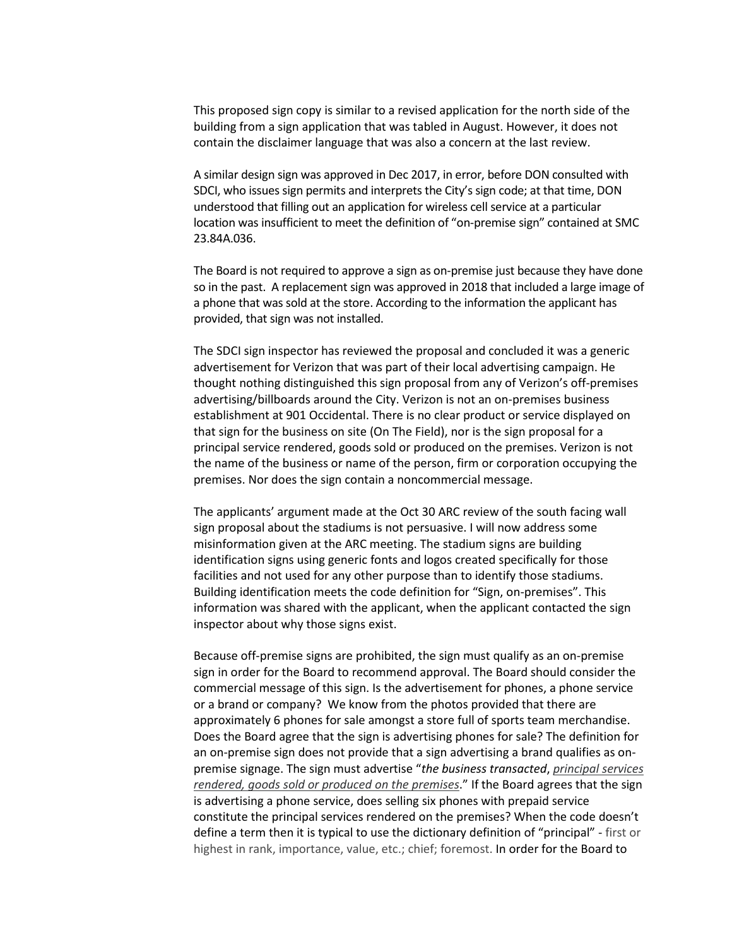This proposed sign copy is similar to a revised application for the north side of the building from a sign application that was tabled in August. However, it does not contain the disclaimer language that was also a concern at the last review.

A similar design sign was approved in Dec 2017, in error, before DON consulted with SDCI, who issues sign permits and interprets the City's sign code; at that time, DON understood that filling out an application for wireless cell service at a particular location was insufficient to meet the definition of "on-premise sign" contained at SMC 23.84A.036.

The Board is not required to approve a sign as on-premise just because they have done so in the past. A replacement sign was approved in 2018 that included a large image of a phone that was sold at the store. According to the information the applicant has provided, that sign was not installed.

The SDCI sign inspector has reviewed the proposal and concluded it was a generic advertisement for Verizon that was part of their local advertising campaign. He thought nothing distinguished this sign proposal from any of Verizon's off-premises advertising/billboards around the City. Verizon is not an on-premises business establishment at 901 Occidental. There is no clear product or service displayed on that sign for the business on site (On The Field), nor is the sign proposal for a principal service rendered, goods sold or produced on the premises. Verizon is not the name of the business or name of the person, firm or corporation occupying the premises. Nor does the sign contain a noncommercial message.

The applicants' argument made at the Oct 30 ARC review of the south facing wall sign proposal about the stadiums is not persuasive. I will now address some misinformation given at the ARC meeting. The stadium signs are building identification signs using generic fonts and logos created specifically for those facilities and not used for any other purpose than to identify those stadiums. Building identification meets the code definition for "Sign, on-premises". This information was shared with the applicant, when the applicant contacted the sign inspector about why those signs exist.

Because off-premise signs are prohibited, the sign must qualify as an on-premise sign in order for the Board to recommend approval. The Board should consider the commercial message of this sign. Is the advertisement for phones, a phone service or a brand or company? We know from the photos provided that there are approximately 6 phones for sale amongst a store full of sports team merchandise. Does the Board agree that the sign is advertising phones for sale? The definition for an on-premise sign does not provide that a sign advertising a brand qualifies as onpremise signage. The sign must advertise "*the business transacted*, *principal services rendered, goods sold or produced on the premises*." If the Board agrees that the sign is advertising a phone service, does selling six phones with prepaid service constitute the principal services rendered on the premises? When the code doesn't define a term then it is typical to use the dictionary definition of "principal" - first or highest in rank, importance, value, etc.; chief; foremost. In order for the Board to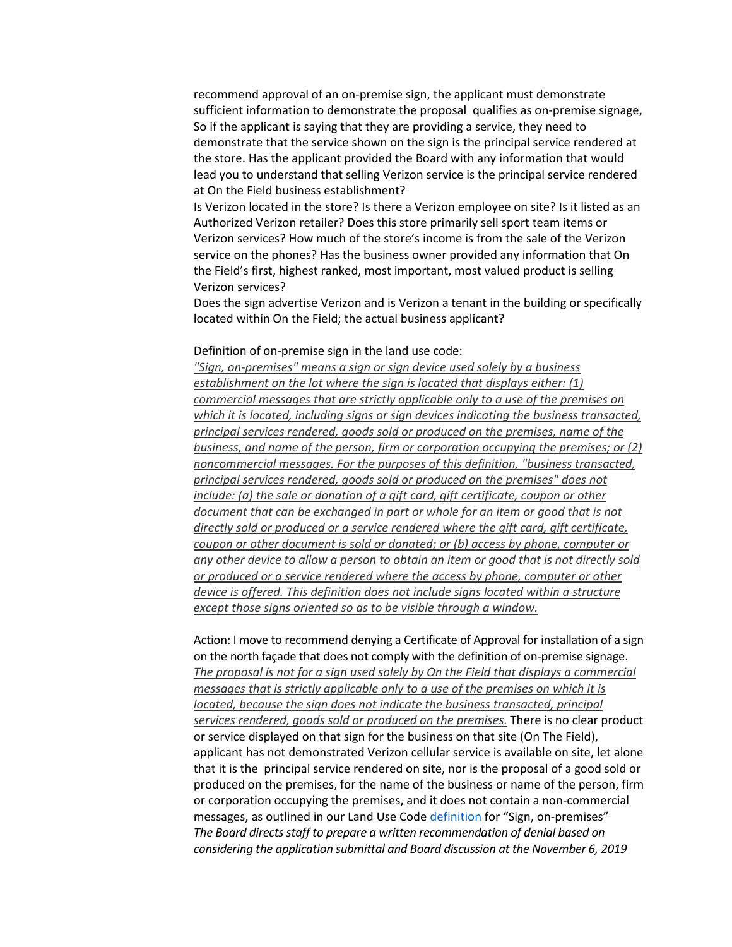recommend approval of an on-premise sign, the applicant must demonstrate sufficient information to demonstrate the proposal qualifies as on-premise signage, So if the applicant is saying that they are providing a service, they need to demonstrate that the service shown on the sign is the principal service rendered at the store. Has the applicant provided the Board with any information that would lead you to understand that selling Verizon service is the principal service rendered at On the Field business establishment?

Is Verizon located in the store? Is there a Verizon employee on site? Is it listed as an Authorized Verizon retailer? Does this store primarily sell sport team items or Verizon services? How much of the store's income is from the sale of the Verizon service on the phones? Has the business owner provided any information that On the Field's first, highest ranked, most important, most valued product is selling Verizon services?

Does the sign advertise Verizon and is Verizon a tenant in the building or specifically located within On the Field; the actual business applicant?

### Definition of on-premise sign in the land use code:

*"Sign, on-premises" means a sign or sign device used solely by a business establishment on the lot where the sign is located that displays either: (1) commercial messages that are strictly applicable only to a use of the premises on which it is located, including signs or sign devices indicating the business transacted, principal services rendered, goods sold or produced on the premises, name of the business, and name of the person, firm or corporation occupying the premises; or (2) noncommercial messages. For the purposes of this definition, "business transacted, principal services rendered, goods sold or produced on the premises" does not include: (a) the sale or donation of a gift card, gift certificate, coupon or other document that can be exchanged in part or whole for an item or good that is not directly sold or produced or a service rendered where the gift card, gift certificate, coupon or other document is sold or donated; or (b) access by phone, computer or any other device to allow a person to obtain an item or good that is not directly sold or produced or a service rendered where the access by phone, computer or other device is offered. This definition does not include signs located within a structure except those signs oriented so as to be visible through a window.*

Action: I move to recommend denying a Certificate of Approval for installation of a sign on the north façade that does not comply with the definition of on-premise signage. *The proposal is not for a sign used solely by On the Field that displays a commercial messages that is strictly applicable only to a use of the premises on which it is located, because the sign does not indicate the business transacted, principal services rendered, goods sold or produced on the premises.* There is no clear product or service displayed on that sign for the business on that site (On The Field), applicant has not demonstrated Verizon cellular service is available on site, let alone that it is the principal service rendered on site, nor is the proposal of a good sold or produced on the premises, for the name of the business or name of the person, firm or corporation occupying the premises, and it does not contain a non-commercial messages, as outlined in our Land Use Cod[e definition](https://library.municode.com/wa/seattle/codes/municipal_code?nodeId=TIT23LAUSCO_SUBTITLE_IVAD_CH23.84ADE_23.84A.036S) for "Sign, on-premises" *The Board directs staff to prepare a written recommendation of denial based on considering the application submittal and Board discussion at the November 6, 2019*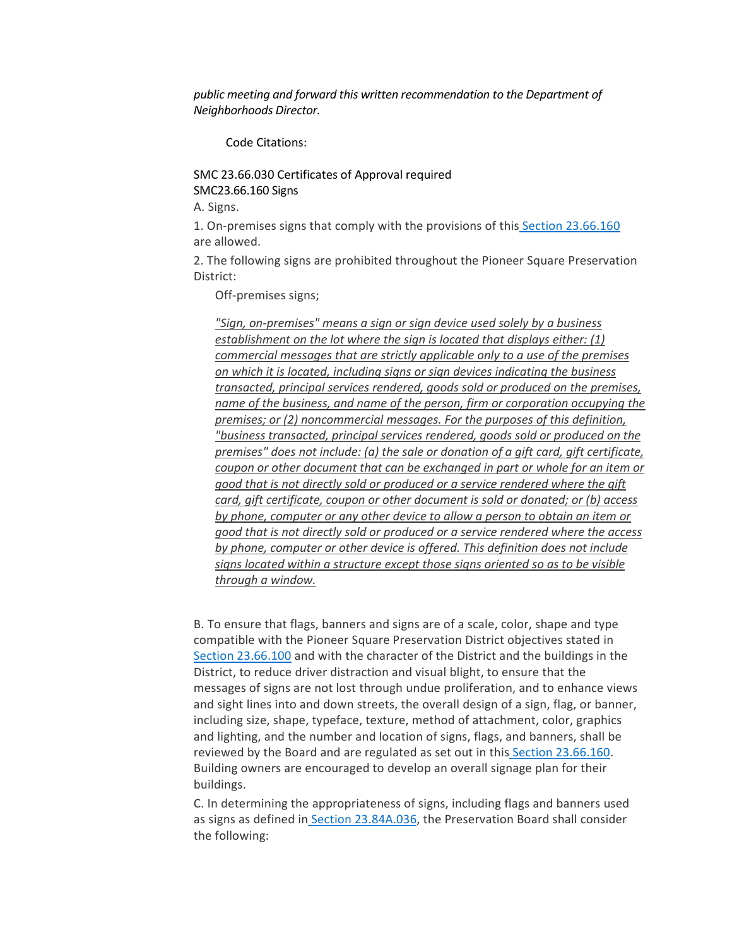*public meeting and forward this written recommendation to the Department of Neighborhoods Director.* 

Code Citations:

SMC 23.66.030 Certificates of Approval required SMC23.66.160 Signs

A. Signs.

1. On-premises signs that comply with the provisions of this [Section 23.66.160](https://library.municode.com/wa/seattle/codes/municipal_code?nodeId=TIT23LAUSCO_SUBTITLE_IIILAUSRE_CH23.66SPREDI_SUBCHAPTER_IIPISQPRDI_23.66.160SI) are allowed.

2. The following signs are prohibited throughout the Pioneer Square Preservation District:

Off-premises signs;

*"Sign, on-premises" means a sign or sign device used solely by a business establishment on the lot where the sign is located that displays either: (1) commercial messages that are strictly applicable only to a use of the premises on which it is located, including signs or sign devices indicating the business transacted, principal services rendered, goods sold or produced on the premises, name of the business, and name of the person, firm or corporation occupying the premises; or (2) noncommercial messages. For the purposes of this definition, "business transacted, principal services rendered, goods sold or produced on the premises" does not include: (a) the sale or donation of a gift card, gift certificate, coupon or other document that can be exchanged in part or whole for an item or good that is not directly sold or produced or a service rendered where the gift card, gift certificate, coupon or other document is sold or donated; or (b) access by phone, computer or any other device to allow a person to obtain an item or good that is not directly sold or produced or a service rendered where the access by phone, computer or other device is offered. This definition does not include signs located within a structure except those signs oriented so as to be visible through a window.*

B. To ensure that flags, banners and signs are of a scale, color, shape and type compatible with the Pioneer Square Preservation District objectives stated i[n](https://library.municode.com/wa/seattle/codes/municipal_code?nodeId=TIT23LAUSCO_SUBTITLE_IIILAUSRE_CH23.66SPREDI_SUBCHAPTER_IIPISQPRDI_23.66.100CRDILEFIPU) [Section 23.66.100](https://library.municode.com/wa/seattle/codes/municipal_code?nodeId=TIT23LAUSCO_SUBTITLE_IIILAUSRE_CH23.66SPREDI_SUBCHAPTER_IIPISQPRDI_23.66.100CRDILEFIPU) and with the character of the District and the buildings in the District, to reduce driver distraction and visual blight, to ensure that the messages of signs are not lost through undue proliferation, and to enhance views and sight lines into and down streets, the overall design of a sign, flag, or banner, including size, shape, typeface, texture, method of attachment, color, graphics and lighting, and the number and location of signs, flags, and banners, shall be reviewed by the Board and are regulated as set out in this [Section 23.66.160.](https://library.municode.com/wa/seattle/codes/municipal_code?nodeId=TIT23LAUSCO_SUBTITLE_IIILAUSRE_CH23.66SPREDI_SUBCHAPTER_IIPISQPRDI_23.66.160SI) Building owners are encouraged to develop an overall signage plan for their buildings.

C. In determining the appropriateness of signs, including flags and banners used as signs as defined in [Section 23.84A.036,](https://library.municode.com/wa/seattle/codes/municipal_code?nodeId=TIT23LAUSCO_SUBTITLE_IVAD_CH23.84ADE_23.84A.036S) the Preservation Board shall consider the following: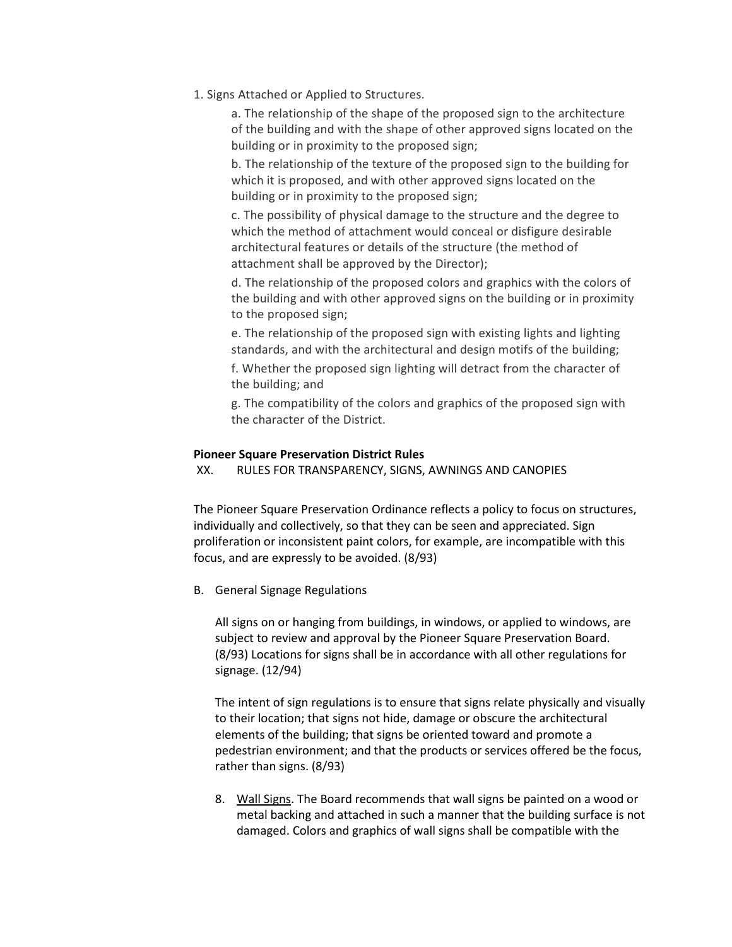1. Signs Attached or Applied to Structures.

a. The relationship of the shape of the proposed sign to the architecture of the building and with the shape of other approved signs located on the building or in proximity to the proposed sign;

b. The relationship of the texture of the proposed sign to the building for which it is proposed, and with other approved signs located on the building or in proximity to the proposed sign;

c. The possibility of physical damage to the structure and the degree to which the method of attachment would conceal or disfigure desirable architectural features or details of the structure (the method of attachment shall be approved by the Director);

d. The relationship of the proposed colors and graphics with the colors of the building and with other approved signs on the building or in proximity to the proposed sign;

e. The relationship of the proposed sign with existing lights and lighting standards, and with the architectural and design motifs of the building;

f. Whether the proposed sign lighting will detract from the character of the building; and

g. The compatibility of the colors and graphics of the proposed sign with the character of the District.

# **Pioneer Square Preservation District Rules**

XX. RULES FOR TRANSPARENCY, SIGNS, AWNINGS AND CANOPIES

The Pioneer Square Preservation Ordinance reflects a policy to focus on structures, individually and collectively, so that they can be seen and appreciated. Sign proliferation or inconsistent paint colors, for example, are incompatible with this focus, and are expressly to be avoided. (8/93)

B. General Signage Regulations

All signs on or hanging from buildings, in windows, or applied to windows, are subject to review and approval by the Pioneer Square Preservation Board. (8/93) Locations for signs shall be in accordance with all other regulations for signage. (12/94)

The intent of sign regulations is to ensure that signs relate physically and visually to their location; that signs not hide, damage or obscure the architectural elements of the building; that signs be oriented toward and promote a pedestrian environment; and that the products or services offered be the focus, rather than signs. (8/93)

8. Wall Signs. The Board recommends that wall signs be painted on a wood or metal backing and attached in such a manner that the building surface is not damaged. Colors and graphics of wall signs shall be compatible with the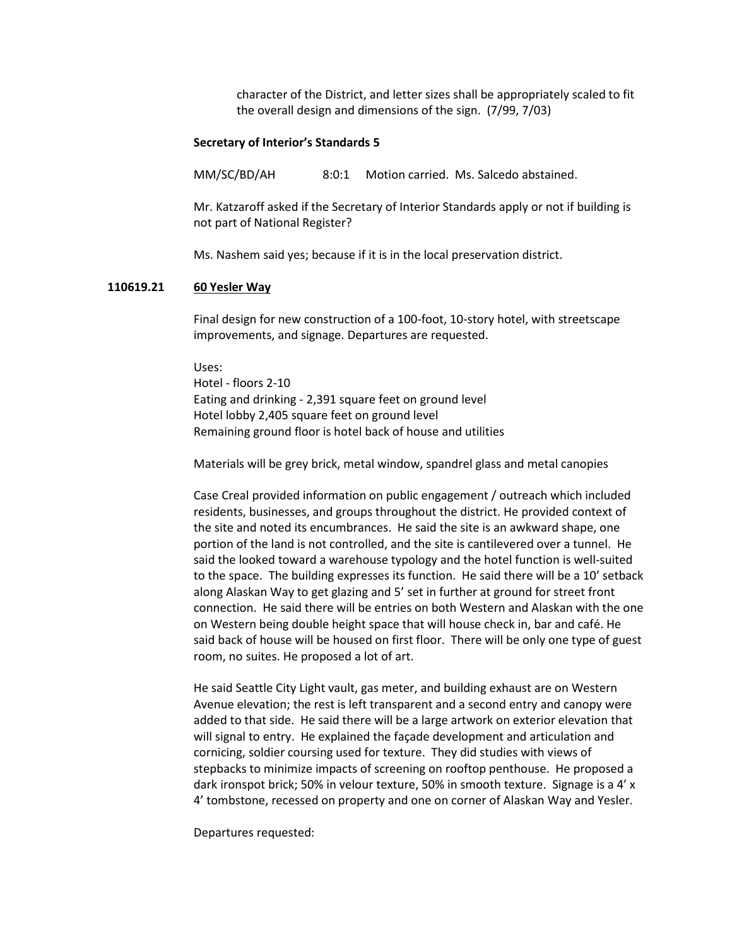character of the District, and letter sizes shall be appropriately scaled to fit the overall design and dimensions of the sign. (7/99, 7/03)

#### **Secretary of Interior's Standards 5**

MM/SC/BD/AH 8:0:1 Motion carried. Ms. Salcedo abstained.

Mr. Katzaroff asked if the Secretary of Interior Standards apply or not if building is not part of National Register?

Ms. Nashem said yes; because if it is in the local preservation district.

#### **110619.21 60 Yesler Way**

Final design for new construction of a 100-foot, 10-story hotel, with streetscape improvements, and signage. Departures are requested.

Uses: Hotel - floors 2-10 Eating and drinking - 2,391 square feet on ground level Hotel lobby 2,405 square feet on ground level Remaining ground floor is hotel back of house and utilities

Materials will be grey brick, metal window, spandrel glass and metal canopies

Case Creal provided information on public engagement / outreach which included residents, businesses, and groups throughout the district. He provided context of the site and noted its encumbrances. He said the site is an awkward shape, one portion of the land is not controlled, and the site is cantilevered over a tunnel. He said the looked toward a warehouse typology and the hotel function is well-suited to the space. The building expresses its function. He said there will be a 10' setback along Alaskan Way to get glazing and 5' set in further at ground for street front connection. He said there will be entries on both Western and Alaskan with the one on Western being double height space that will house check in, bar and café. He said back of house will be housed on first floor. There will be only one type of guest room, no suites. He proposed a lot of art.

He said Seattle City Light vault, gas meter, and building exhaust are on Western Avenue elevation; the rest is left transparent and a second entry and canopy were added to that side. He said there will be a large artwork on exterior elevation that will signal to entry. He explained the façade development and articulation and cornicing, soldier coursing used for texture. They did studies with views of stepbacks to minimize impacts of screening on rooftop penthouse. He proposed a dark ironspot brick; 50% in velour texture, 50% in smooth texture. Signage is a 4' x 4' tombstone, recessed on property and one on corner of Alaskan Way and Yesler.

Departures requested: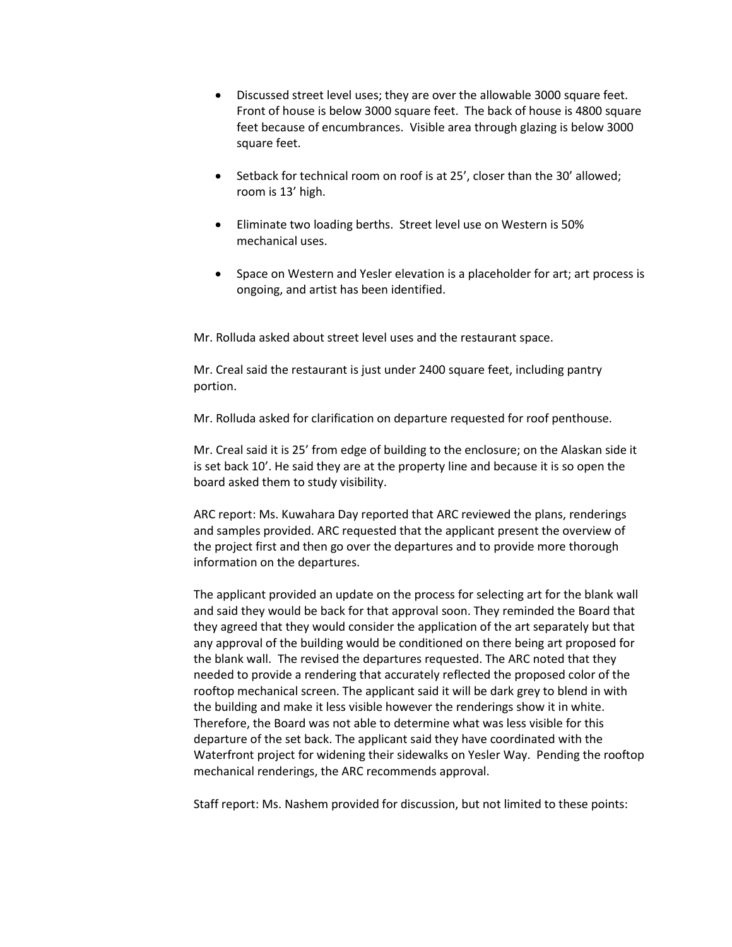- Discussed street level uses; they are over the allowable 3000 square feet. Front of house is below 3000 square feet. The back of house is 4800 square feet because of encumbrances. Visible area through glazing is below 3000 square feet.
- Setback for technical room on roof is at 25', closer than the 30' allowed; room is 13' high.
- Eliminate two loading berths. Street level use on Western is 50% mechanical uses.
- Space on Western and Yesler elevation is a placeholder for art; art process is ongoing, and artist has been identified.

Mr. Rolluda asked about street level uses and the restaurant space.

Mr. Creal said the restaurant is just under 2400 square feet, including pantry portion.

Mr. Rolluda asked for clarification on departure requested for roof penthouse.

Mr. Creal said it is 25' from edge of building to the enclosure; on the Alaskan side it is set back 10'. He said they are at the property line and because it is so open the board asked them to study visibility.

ARC report: Ms. Kuwahara Day reported that ARC reviewed the plans, renderings and samples provided. ARC requested that the applicant present the overview of the project first and then go over the departures and to provide more thorough information on the departures.

The applicant provided an update on the process for selecting art for the blank wall and said they would be back for that approval soon. They reminded the Board that they agreed that they would consider the application of the art separately but that any approval of the building would be conditioned on there being art proposed for the blank wall. The revised the departures requested. The ARC noted that they needed to provide a rendering that accurately reflected the proposed color of the rooftop mechanical screen. The applicant said it will be dark grey to blend in with the building and make it less visible however the renderings show it in white. Therefore, the Board was not able to determine what was less visible for this departure of the set back. The applicant said they have coordinated with the Waterfront project for widening their sidewalks on Yesler Way. Pending the rooftop mechanical renderings, the ARC recommends approval.

Staff report: Ms. Nashem provided for discussion, but not limited to these points: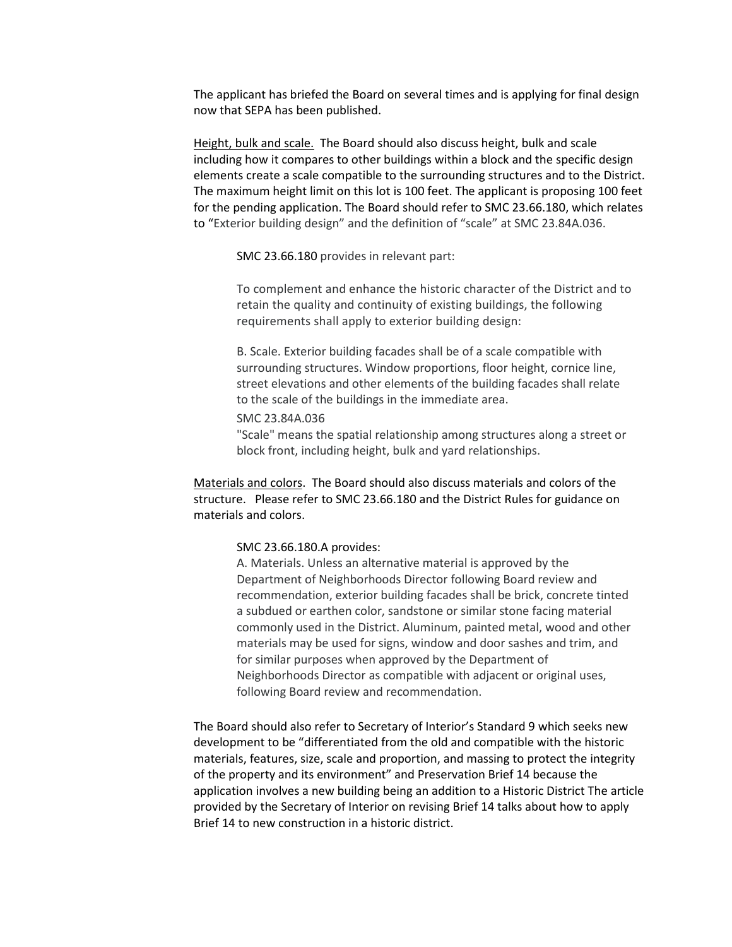The applicant has briefed the Board on several times and is applying for final design now that SEPA has been published.

Height, bulk and scale. The Board should also discuss height, bulk and scale including how it compares to other buildings within a block and the specific design elements create a scale compatible to the surrounding structures and to the District. The maximum height limit on this lot is 100 feet. The applicant is proposing 100 feet for the pending application. The Board should refer to SMC 23.66.180, which relates to "Exterior building design" and the definition of "scale" at SMC 23.84A.036.

SMC 23.66.180 provides in relevant part:

To complement and enhance the historic character of the District and to retain the quality and continuity of existing buildings, the following requirements shall apply to exterior building design:

B. Scale. Exterior building facades shall be of a scale compatible with surrounding structures. Window proportions, floor height, cornice line, street elevations and other elements of the building facades shall relate to the scale of the buildings in the immediate area.

SMC 23.84A.036

"Scale" means the spatial relationship among structures along a street or block front, including height, bulk and yard relationships.

Materials and colors. The Board should also discuss materials and colors of the structure. Please refer to SMC 23.66.180 and the District Rules for guidance on materials and colors.

#### SMC 23.66.180.A provides:

A. Materials. Unless an alternative material is approved by the Department of Neighborhoods Director following Board review and recommendation, exterior building facades shall be brick, concrete tinted a subdued or earthen color, sandstone or similar stone facing material commonly used in the District. Aluminum, painted metal, wood and other materials may be used for signs, window and door sashes and trim, and for similar purposes when approved by the Department of Neighborhoods Director as compatible with adjacent or original uses, following Board review and recommendation.

The Board should also refer to Secretary of Interior's Standard 9 which seeks new development to be "differentiated from the old and compatible with the historic materials, features, size, scale and proportion, and massing to protect the integrity of the property and its environment" and Preservation Brief 14 because the application involves a new building being an addition to a Historic District The article provided by the Secretary of Interior on revising Brief 14 talks about how to apply Brief 14 to new construction in a historic district.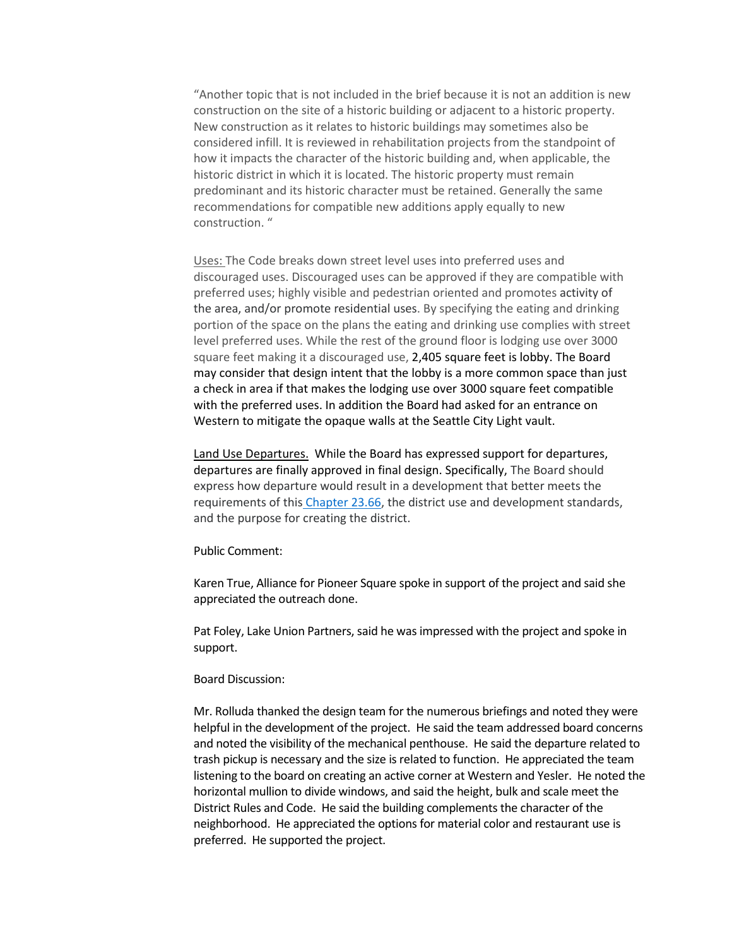"Another topic that is not included in the brief because it is not an addition is new construction on the site of a historic building or adjacent to a historic property. New construction as it relates to historic buildings may sometimes also be considered infill. It is reviewed in rehabilitation projects from the standpoint of how it impacts the character of the historic building and, when applicable, the historic district in which it is located. The historic property must remain predominant and its historic character must be retained. Generally the same recommendations for compatible new additions apply equally to new construction. "

Uses: The Code breaks down street level uses into preferred uses and discouraged uses. Discouraged uses can be approved if they are compatible with preferred uses; highly visible and pedestrian oriented and promotes activity of the area, and/or promote residential uses. By specifying the eating and drinking portion of the space on the plans the eating and drinking use complies with street level preferred uses. While the rest of the ground floor is lodging use over 3000 square feet making it a discouraged use, 2,405 square feet is lobby. The Board may consider that design intent that the lobby is a more common space than just a check in area if that makes the lodging use over 3000 square feet compatible with the preferred uses. In addition the Board had asked for an entrance on Western to mitigate the opaque walls at the Seattle City Light vault.

Land Use Departures. While the Board has expressed support for departures, departures are finally approved in final design. Specifically, The Board should express how departure would result in a development that better meets the requirements of this [Chapter 23.66,](https://library.municode.com/wa/seattle/codes/municipal_code?nodeId=TIT23LAUSCO_SUBTITLE_IIILAUSRE_CH23.66SPREDI) the district use and development standards, and the purpose for creating the district.

#### Public Comment:

Karen True, Alliance for Pioneer Square spoke in support of the project and said she appreciated the outreach done.

Pat Foley, Lake Union Partners, said he was impressed with the project and spoke in support.

#### Board Discussion:

Mr. Rolluda thanked the design team for the numerous briefings and noted they were helpful in the development of the project. He said the team addressed board concerns and noted the visibility of the mechanical penthouse. He said the departure related to trash pickup is necessary and the size is related to function. He appreciated the team listening to the board on creating an active corner at Western and Yesler. He noted the horizontal mullion to divide windows, and said the height, bulk and scale meet the District Rules and Code. He said the building complements the character of the neighborhood. He appreciated the options for material color and restaurant use is preferred. He supported the project.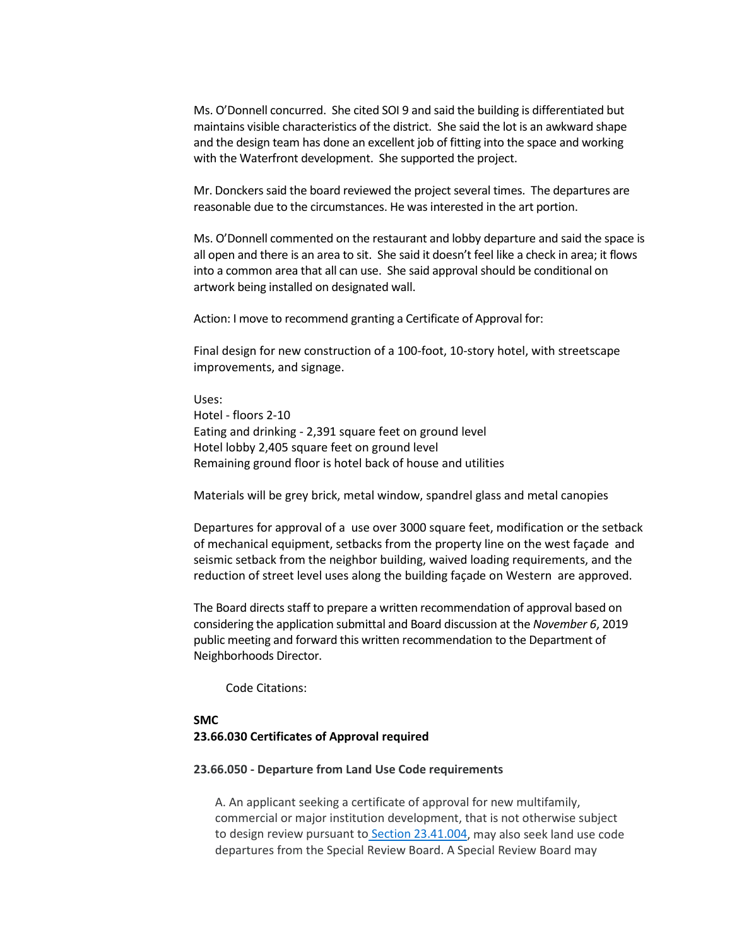Ms. O'Donnell concurred. She cited SOI 9 and said the building is differentiated but maintains visible characteristics of the district. She said the lot is an awkward shape and the design team has done an excellent job of fitting into the space and working with the Waterfront development. She supported the project.

Mr. Donckers said the board reviewed the project several times. The departures are reasonable due to the circumstances. He was interested in the art portion.

Ms. O'Donnell commented on the restaurant and lobby departure and said the space is all open and there is an area to sit. She said it doesn't feel like a check in area; it flows into a common area that all can use. She said approval should be conditional on artwork being installed on designated wall.

Action: I move to recommend granting a Certificate of Approval for:

Final design for new construction of a 100-foot, 10-story hotel, with streetscape improvements, and signage.

Uses: Hotel - floors 2-10 Eating and drinking - 2,391 square feet on ground level Hotel lobby 2,405 square feet on ground level Remaining ground floor is hotel back of house and utilities

Materials will be grey brick, metal window, spandrel glass and metal canopies

Departures for approval of a use over 3000 square feet, modification or the setback of mechanical equipment, setbacks from the property line on the west façade and seismic setback from the neighbor building, waived loading requirements, and the reduction of street level uses along the building façade on Western are approved.

The Board directs staff to prepare a written recommendation of approval based on considering the application submittal and Board discussion at the *November 6*, 2019 public meeting and forward this written recommendation to the Department of Neighborhoods Director.

Code Citations:

# **SMC 23.66.030 Certificates of Approval required**

#### **23.66.050 - Departure from Land Use Code requirements**

A. An applicant seeking a certificate of approval for new multifamily, commercial or major institution development, that is not otherwise subject to design review pursuant to [Section 23.41.004,](https://library.municode.com/wa/seattle/codes/municipal_code?nodeId=TIT23LAUSCO_SUBTITLE_IIILAUSRE_CH23.41DERE_23.41.004AP) may also seek land use code departures from the Special Review Board. A Special Review Board may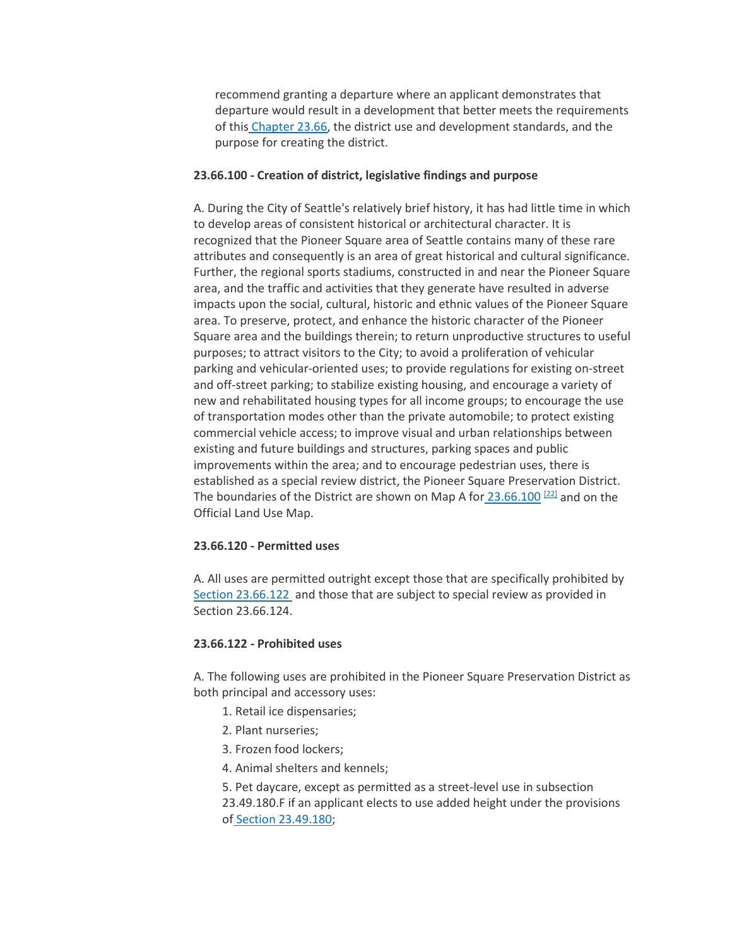recommend granting a departure where an applicant demonstrates that departure would result in a development that better meets the requirements of this [Chapter 23.66,](https://library.municode.com/wa/seattle/codes/municipal_code?nodeId=TIT23LAUSCO_SUBTITLE_IIILAUSRE_CH23.66SPREDI) the district use and development standards, and the purpose for creating the district.

# **23.66.100 - Creation of district, legislative findings and purpose**

A. During the City of Seattle's relatively brief history, it has had little time in which to develop areas of consistent historical or architectural character. It is recognized that the Pioneer Square area of Seattle contains many of these rare attributes and consequently is an area of great historical and cultural significance. Further, the regional sports stadiums, constructed in and near the Pioneer Square area, and the traffic and activities that they generate have resulted in adverse impacts upon the social, cultural, historic and ethnic values of the Pioneer Square area. To preserve, protect, and enhance the historic character of the Pioneer Square area and the buildings therein; to return unproductive structures to useful purposes; to attract visitors to the City; to avoid a proliferation of vehicular parking and vehicular-oriented uses; to provide regulations for existing on-street and off-street parking; to stabilize existing housing, and encourage a variety of new and rehabilitated housing types for all income groups; to encourage the use of transportation modes other than the private automobile; to protect existing commercial vehicle access; to improve visual and urban relationships between existing and future buildings and structures, parking spaces and public improvements within the area; and to encourage pedestrian uses, there is established as a special review district, the Pioneer Square Preservation District. The boundaries of the District are shown on Map A for  $23.66.100$ <sup>[\[22\]](https://library.municode.com/#fn_376)</sup> and on the Official Land Use Map.

# **23.66.120 - Permitted uses**

A. All uses are permitted outright except those that are specifically prohibited b[y](https://library.municode.com/wa/seattle/codes/municipal_code?nodeId=TIT23LAUSCO_SUBTITLE_IIILAUSRE_CH23.66SPREDI_SUBCHAPTER_IIPISQPRDI_23.66.122PRUS) [Section 23.66.122](https://library.municode.com/wa/seattle/codes/municipal_code?nodeId=TIT23LAUSCO_SUBTITLE_IIILAUSRE_CH23.66SPREDI_SUBCHAPTER_IIPISQPRDI_23.66.122PRUS) and those that are subject to special review as provided in Section 23.66.124.

# **23.66.122 - Prohibited uses**

A. The following uses are prohibited in the Pioneer Square Preservation District as both principal and accessory uses:

- 1. Retail ice dispensaries;
- 2. Plant nurseries;
- 3. Frozen food lockers;
- 4. Animal shelters and kennels;

5. Pet daycare, except as permitted as a street-level use in subsection 23.49.180.F if an applicant elects to use added height under the provisions of [Section 23.49.180;](https://library.municode.com/wa/seattle/codes/municipal_code?nodeId=TIT23LAUSCO_SUBTITLE_IIILAUSRE_CH23.49DOZO_SUBCHAPTER_VPISQMI_23.49.180ADHEPS85-120ZO)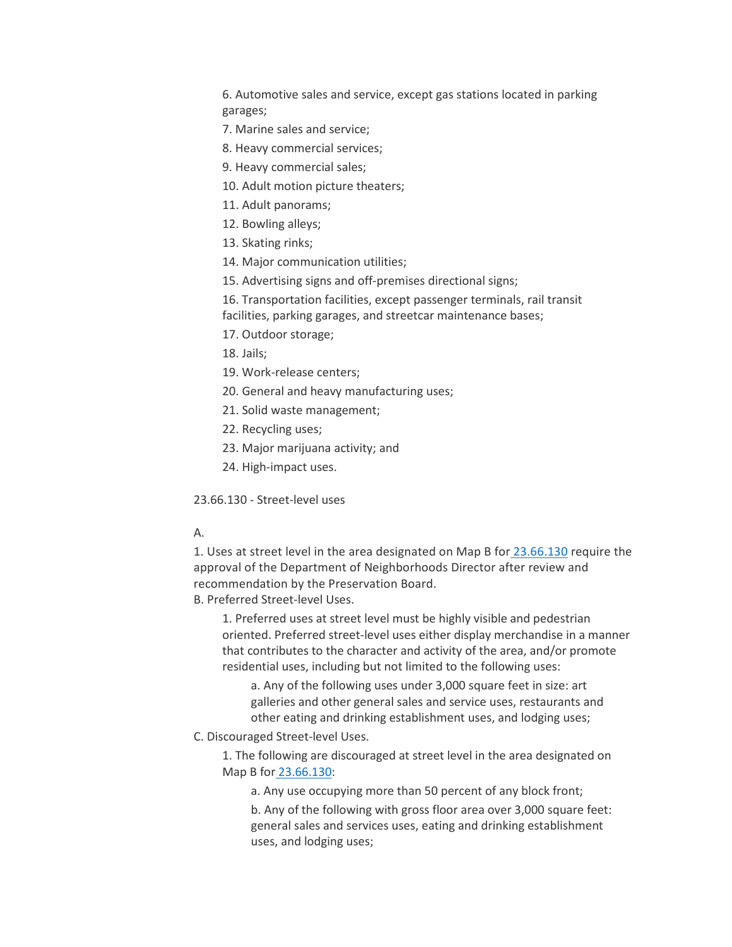6. Automotive sales and service, except gas stations located in parking garages;

- 7. Marine sales and service;
- 8. Heavy commercial services;
- 9. Heavy commercial sales;
- 10. Adult motion picture theaters;
- 11. Adult panorams;
- 12. Bowling alleys;
- 13. Skating rinks;
- 14. Major communication utilities;
- 15. Advertising signs and off-premises directional signs;
- 16. Transportation facilities, except passenger terminals, rail transit facilities, parking garages, and streetcar maintenance bases;
- 17. Outdoor storage;
- 18. Jails;
- 19. Work-release centers;
- 20. General and heavy manufacturing uses;
- 21. Solid waste management;
- 22. Recycling uses;
- 23. Major marijuana activity; and
- 24. High-impact uses.

23.66.130 - Street-level uses

# A.

1. Uses at street level in the area designated on Map B for [23.66.130](https://library.municode.com/wa/seattle/codes/municipal_code?nodeId=TIT23LAUSCO_SUBTITLE_IIILAUSRE_CH23.66SPREDI_SUBCHAPTER_IIPISQPRDI_23.66.130STVEUS) require the approval of the Department of Neighborhoods Director after review and recommendation by the Preservation Board.

B. Preferred Street-level Uses.

1. Preferred uses at street level must be highly visible and pedestrian oriented. Preferred street-level uses either display merchandise in a manner that contributes to the character and activity of the area, and/or promote residential uses, including but not limited to the following uses:

a. Any of the following uses under 3,000 square feet in size: art galleries and other general sales and service uses, restaurants and other eating and drinking establishment uses, and lodging uses;

C. Discouraged Street-level Uses.

1. The following are discouraged at street level in the area designated on Map B for [23.66.130:](https://library.municode.com/wa/seattle/codes/municipal_code?nodeId=TIT23LAUSCO_SUBTITLE_IIILAUSRE_CH23.66SPREDI_SUBCHAPTER_IIPISQPRDI_23.66.130STVEUS)

a. Any use occupying more than 50 percent of any block front;

b. Any of the following with gross floor area over 3,000 square feet: general sales and services uses, eating and drinking establishment uses, and lodging uses;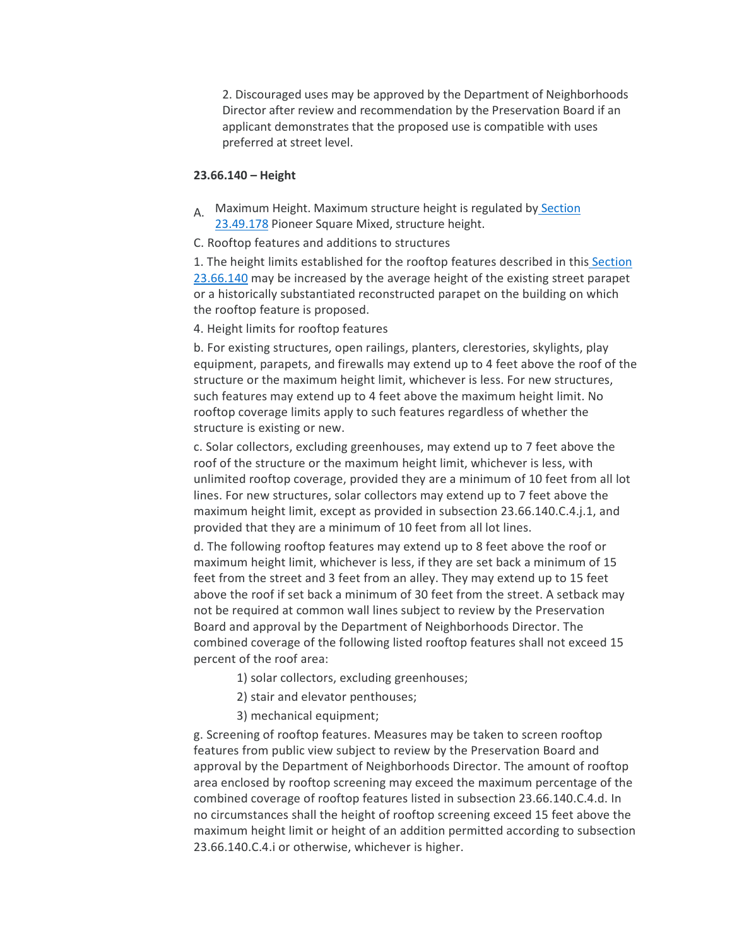2. Discouraged uses may be approved by the Department of Neighborhoods Director after review and recommendation by the Preservation Board if an applicant demonstrates that the proposed use is compatible with uses preferred at street level.

### **23.66.140 – Height**

A. Maximum Height. Maximum structure height is regulated by Section [23.49.178](https://library.municode.com/wa/seattle/codes/municipal_code?nodeId=TIT23LAUSCO_SUBTITLE_IIILAUSRE_CH23.49DOZO_SUBCHAPTER_VPISQMI_23.49.178PISQMISTHE) Pioneer Square Mixed, structure height.

C. Rooftop features and additions to structures

1. The height limits established for the rooftop features described in this [Section](https://library.municode.com/wa/seattle/codes/municipal_code?nodeId=TIT23LAUSCO_SUBTITLE_IIILAUSRE_CH23.66SPREDI_SUBCHAPTER_IIPISQPRDI_23.66.140HE)  [23.66.140](https://library.municode.com/wa/seattle/codes/municipal_code?nodeId=TIT23LAUSCO_SUBTITLE_IIILAUSRE_CH23.66SPREDI_SUBCHAPTER_IIPISQPRDI_23.66.140HE) may be increased by the average height of the existing street parapet or a historically substantiated reconstructed parapet on the building on which the rooftop feature is proposed.

4. Height limits for rooftop features

b. For existing structures, open railings, planters, clerestories, skylights, play equipment, parapets, and firewalls may extend up to 4 feet above the roof of the structure or the maximum height limit, whichever is less. For new structures, such features may extend up to 4 feet above the maximum height limit. No rooftop coverage limits apply to such features regardless of whether the structure is existing or new.

c. Solar collectors, excluding greenhouses, may extend up to 7 feet above the roof of the structure or the maximum height limit, whichever is less, with unlimited rooftop coverage, provided they are a minimum of 10 feet from all lot lines. For new structures, solar collectors may extend up to 7 feet above the maximum height limit, except as provided in subsection 23.66.140.C.4.j.1, and provided that they are a minimum of 10 feet from all lot lines.

d. The following rooftop features may extend up to 8 feet above the roof or maximum height limit, whichever is less, if they are set back a minimum of 15 feet from the street and 3 feet from an alley. They may extend up to 15 feet above the roof if set back a minimum of 30 feet from the street. A setback may not be required at common wall lines subject to review by the Preservation Board and approval by the Department of Neighborhoods Director. The combined coverage of the following listed rooftop features shall not exceed 15 percent of the roof area:

- 1) solar collectors, excluding greenhouses;
- 2) stair and elevator penthouses;
- 3) mechanical equipment;

g. Screening of rooftop features. Measures may be taken to screen rooftop features from public view subject to review by the Preservation Board and approval by the Department of Neighborhoods Director. The amount of rooftop area enclosed by rooftop screening may exceed the maximum percentage of the combined coverage of rooftop features listed in subsection 23.66.140.C.4.d. In no circumstances shall the height of rooftop screening exceed 15 feet above the maximum height limit or height of an addition permitted according to subsection 23.66.140.C.4.i or otherwise, whichever is higher.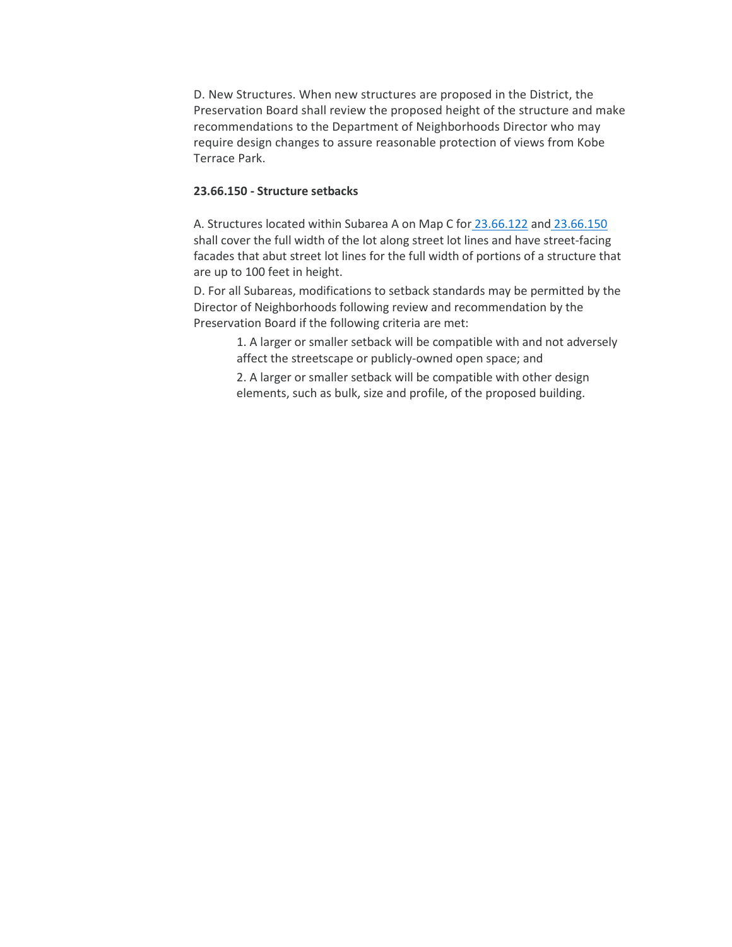D. New Structures. When new structures are proposed in the District, the Preservation Board shall review the proposed height of the structure and make recommendations to the Department of Neighborhoods Director who may require design changes to assure reasonable protection of views from Kobe Terrace Park.

# **23.66.150 - Structure setbacks**

A. Structures located within Subarea A on Map C for [23.66.122](https://library.municode.com/wa/seattle/codes/municipal_code?nodeId=TIT23LAUSCO_SUBTITLE_IIILAUSRE_CH23.66SPREDI_SUBCHAPTER_IIPISQPRDI_23.66.122PRUS) and [23.66.150](https://library.municode.com/wa/seattle/codes/municipal_code?nodeId=TIT23LAUSCO_SUBTITLE_IIILAUSRE_CH23.66SPREDI_SUBCHAPTER_IIPISQPRDI_23.66.150STSE) shall cover the full width of the lot along street lot lines and have street-facing facades that abut street lot lines for the full width of portions of a structure that are up to 100 feet in height.

D. For all Subareas, modifications to setback standards may be permitted by the Director of Neighborhoods following review and recommendation by the Preservation Board if the following criteria are met:

1. A larger or smaller setback will be compatible with and not adversely affect the streetscape or publicly-owned open space; and

2. A larger or smaller setback will be compatible with other design elements, such as bulk, size and profile, of the proposed building.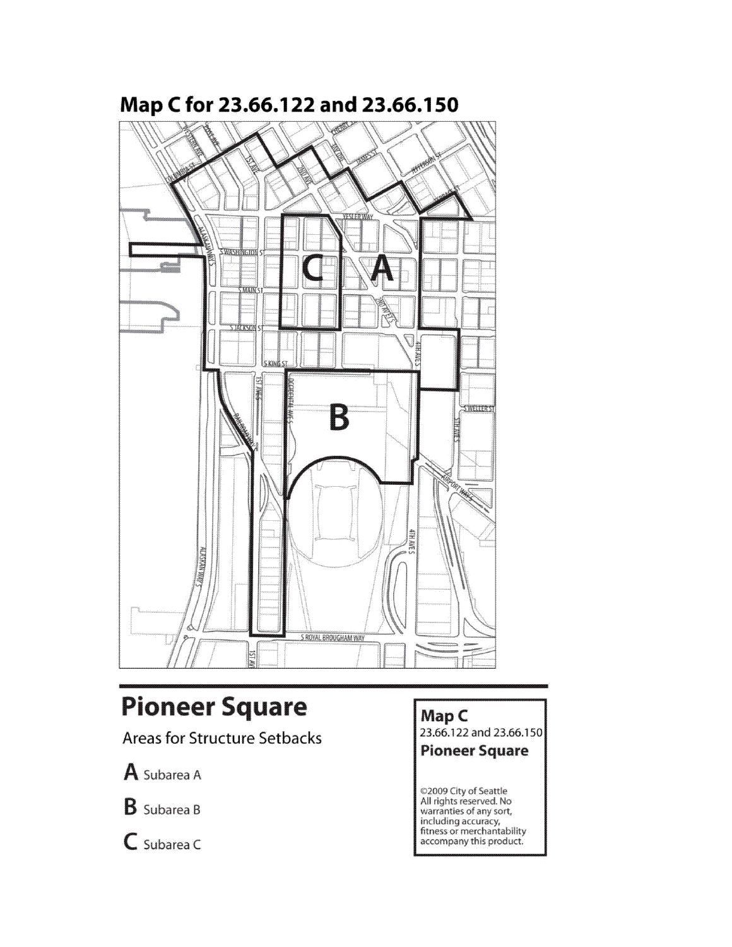

# Map C for 23.66.122 and 23.66.150

# **Pioneer Square**

**Areas for Structure Setbacks** 

A Subarea A

**B** Subarea B

 $C$  Subarea C

Map C

23.66.122 and 23.66.150

**Pioneer Square** 

©2009 City of Seattle<br>All rights reserved. No<br>warranties of any sort, including accuracy,<br>fitness or merchantability accompany this product.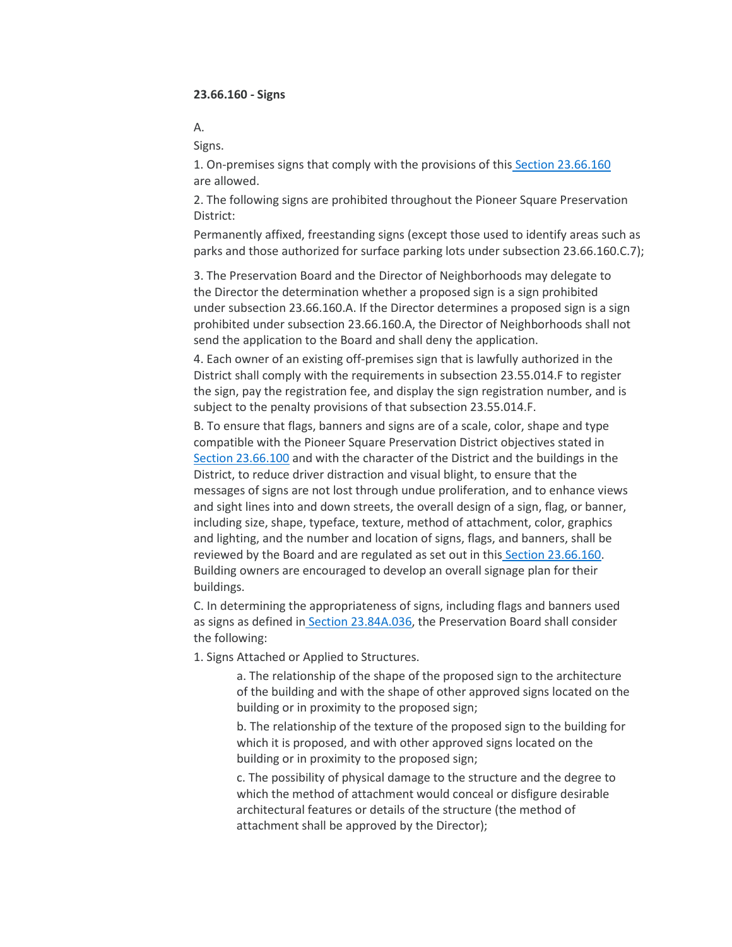A.

Signs.

1. On-premises signs that comply with the provisions of this [Section 23.66.160](https://library.municode.com/wa/seattle/codes/municipal_code?nodeId=TIT23LAUSCO_SUBTITLE_IIILAUSRE_CH23.66SPREDI_SUBCHAPTER_IIPISQPRDI_23.66.160SI) are allowed.

2. The following signs are prohibited throughout the Pioneer Square Preservation District:

Permanently affixed, freestanding signs (except those used to identify areas such as parks and those authorized for surface parking lots under subsection 23.66.160.C.7);

3. The Preservation Board and the Director of Neighborhoods may delegate to the Director the determination whether a proposed sign is a sign prohibited under subsection 23.66.160.A. If the Director determines a proposed sign is a sign prohibited under subsection 23.66.160.A, the Director of Neighborhoods shall not send the application to the Board and shall deny the application.

4. Each owner of an existing off-premises sign that is lawfully authorized in the District shall comply with the requirements in subsection 23.55.014.F to register the sign, pay the registration fee, and display the sign registration number, and is subject to the penalty provisions of that subsection 23.55.014.F.

B. To ensure that flags, banners and signs are of a scale, color, shape and type compatible with the Pioneer Square Preservation District objectives stated i[n](https://library.municode.com/wa/seattle/codes/municipal_code?nodeId=TIT23LAUSCO_SUBTITLE_IIILAUSRE_CH23.66SPREDI_SUBCHAPTER_IIPISQPRDI_23.66.100CRDILEFIPU) [Section 23.66.100](https://library.municode.com/wa/seattle/codes/municipal_code?nodeId=TIT23LAUSCO_SUBTITLE_IIILAUSRE_CH23.66SPREDI_SUBCHAPTER_IIPISQPRDI_23.66.100CRDILEFIPU) and with the character of the District and the buildings in the District, to reduce driver distraction and visual blight, to ensure that the messages of signs are not lost through undue proliferation, and to enhance views and sight lines into and down streets, the overall design of a sign, flag, or banner, including size, shape, typeface, texture, method of attachment, color, graphics and lighting, and the number and location of signs, flags, and banners, shall be reviewed by the Board and are regulated as set out in this [Section 23.66.160.](https://library.municode.com/wa/seattle/codes/municipal_code?nodeId=TIT23LAUSCO_SUBTITLE_IIILAUSRE_CH23.66SPREDI_SUBCHAPTER_IIPISQPRDI_23.66.160SI) Building owners are encouraged to develop an overall signage plan for their buildings.

C. In determining the appropriateness of signs, including flags and banners used as signs as defined in [Section 23.84A.036,](https://library.municode.com/wa/seattle/codes/municipal_code?nodeId=TIT23LAUSCO_SUBTITLE_IVAD_CH23.84ADE_23.84A.036S) the Preservation Board shall consider the following:

1. Signs Attached or Applied to Structures.

a. The relationship of the shape of the proposed sign to the architecture of the building and with the shape of other approved signs located on the building or in proximity to the proposed sign;

b. The relationship of the texture of the proposed sign to the building for which it is proposed, and with other approved signs located on the building or in proximity to the proposed sign;

c. The possibility of physical damage to the structure and the degree to which the method of attachment would conceal or disfigure desirable architectural features or details of the structure (the method of attachment shall be approved by the Director);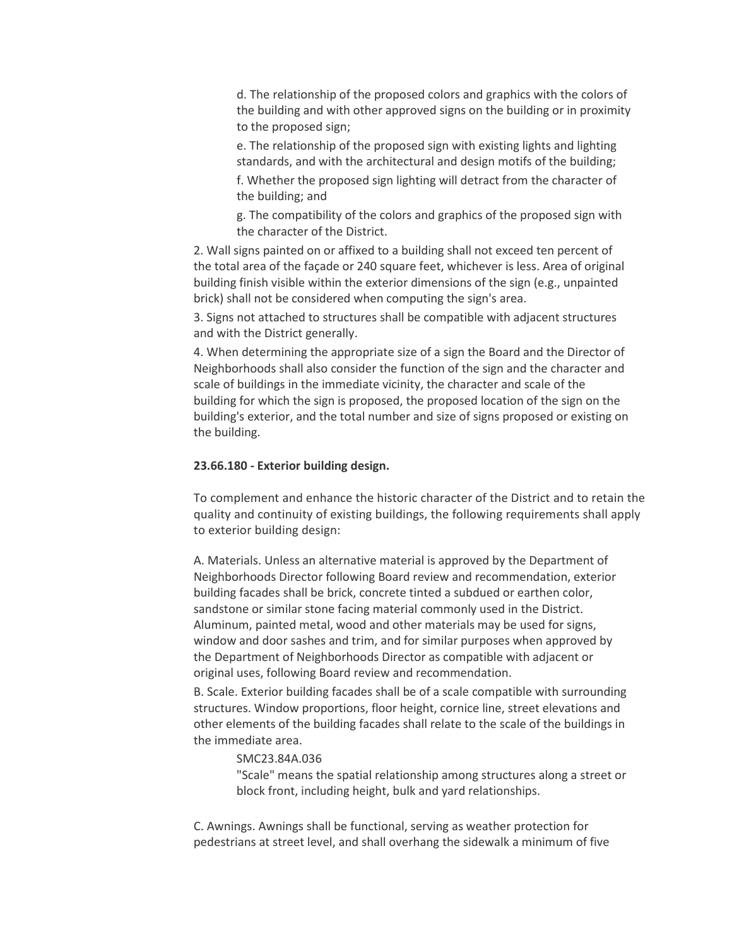d. The relationship of the proposed colors and graphics with the colors of the building and with other approved signs on the building or in proximity to the proposed sign;

e. The relationship of the proposed sign with existing lights and lighting standards, and with the architectural and design motifs of the building;

f. Whether the proposed sign lighting will detract from the character of the building; and

g. The compatibility of the colors and graphics of the proposed sign with the character of the District.

2. Wall signs painted on or affixed to a building shall not exceed ten percent of the total area of the façade or 240 square feet, whichever is less. Area of original building finish visible within the exterior dimensions of the sign (e.g., unpainted brick) shall not be considered when computing the sign's area.

3. Signs not attached to structures shall be compatible with adjacent structures and with the District generally.

4. When determining the appropriate size of a sign the Board and the Director of Neighborhoods shall also consider the function of the sign and the character and scale of buildings in the immediate vicinity, the character and scale of the building for which the sign is proposed, the proposed location of the sign on the building's exterior, and the total number and size of signs proposed or existing on the building.

# **23.66.180 - Exterior building design.**

To complement and enhance the historic character of the District and to retain the quality and continuity of existing buildings, the following requirements shall apply to exterior building design:

A. Materials. Unless an alternative material is approved by the Department of Neighborhoods Director following Board review and recommendation, exterior building facades shall be brick, concrete tinted a subdued or earthen color, sandstone or similar stone facing material commonly used in the District. Aluminum, painted metal, wood and other materials may be used for signs, window and door sashes and trim, and for similar purposes when approved by the Department of Neighborhoods Director as compatible with adjacent or original uses, following Board review and recommendation.

B. Scale. Exterior building facades shall be of a scale compatible with surrounding structures. Window proportions, floor height, cornice line, street elevations and other elements of the building facades shall relate to the scale of the buildings in the immediate area.

# SMC23.84A.036

"Scale" means the spatial relationship among structures along a street or block front, including height, bulk and yard relationships.

C. Awnings. Awnings shall be functional, serving as weather protection for pedestrians at street level, and shall overhang the sidewalk a minimum of five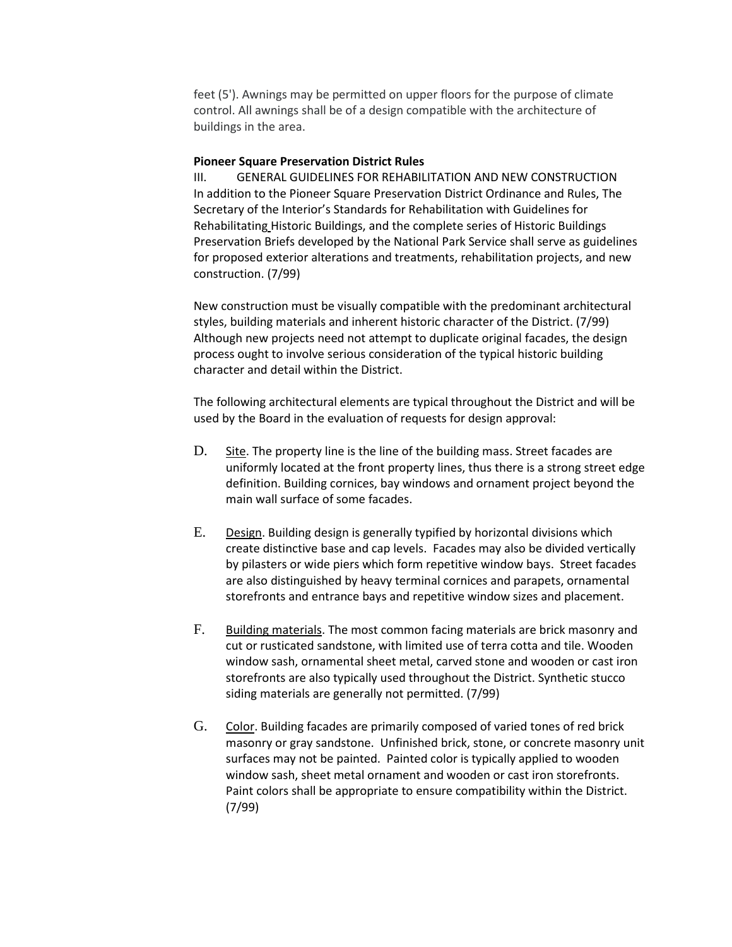feet (5'). Awnings may be permitted on upper floors for the purpose of climate control. All awnings shall be of a design compatible with the architecture of buildings in the area.

# **Pioneer Square Preservation District Rules**

III. GENERAL GUIDELINES FOR REHABILITATION AND NEW CONSTRUCTION In addition to the Pioneer Square Preservation District Ordinance and Rules, The Secretary of the Interior's Standards for Rehabilitation with Guidelines for Rehabilitating Historic Buildings, and the complete series of Historic Buildings Preservation Briefs developed by the National Park Service shall serve as guidelines for proposed exterior alterations and treatments, rehabilitation projects, and new construction. (7/99)

New construction must be visually compatible with the predominant architectural styles, building materials and inherent historic character of the District. (7/99) Although new projects need not attempt to duplicate original facades, the design process ought to involve serious consideration of the typical historic building character and detail within the District.

The following architectural elements are typical throughout the District and will be used by the Board in the evaluation of requests for design approval:

- D. Site. The property line is the line of the building mass. Street facades are uniformly located at the front property lines, thus there is a strong street edge definition. Building cornices, bay windows and ornament project beyond the main wall surface of some facades.
- E. Design. Building design is generally typified by horizontal divisions which create distinctive base and cap levels. Facades may also be divided vertically by pilasters or wide piers which form repetitive window bays. Street facades are also distinguished by heavy terminal cornices and parapets, ornamental storefronts and entrance bays and repetitive window sizes and placement.
- F. Building materials. The most common facing materials are brick masonry and cut or rusticated sandstone, with limited use of terra cotta and tile. Wooden window sash, ornamental sheet metal, carved stone and wooden or cast iron storefronts are also typically used throughout the District. Synthetic stucco siding materials are generally not permitted. (7/99)
- G. Color. Building facades are primarily composed of varied tones of red brick masonry or gray sandstone. Unfinished brick, stone, or concrete masonry unit surfaces may not be painted. Painted color is typically applied to wooden window sash, sheet metal ornament and wooden or cast iron storefronts. Paint colors shall be appropriate to ensure compatibility within the District. (7/99)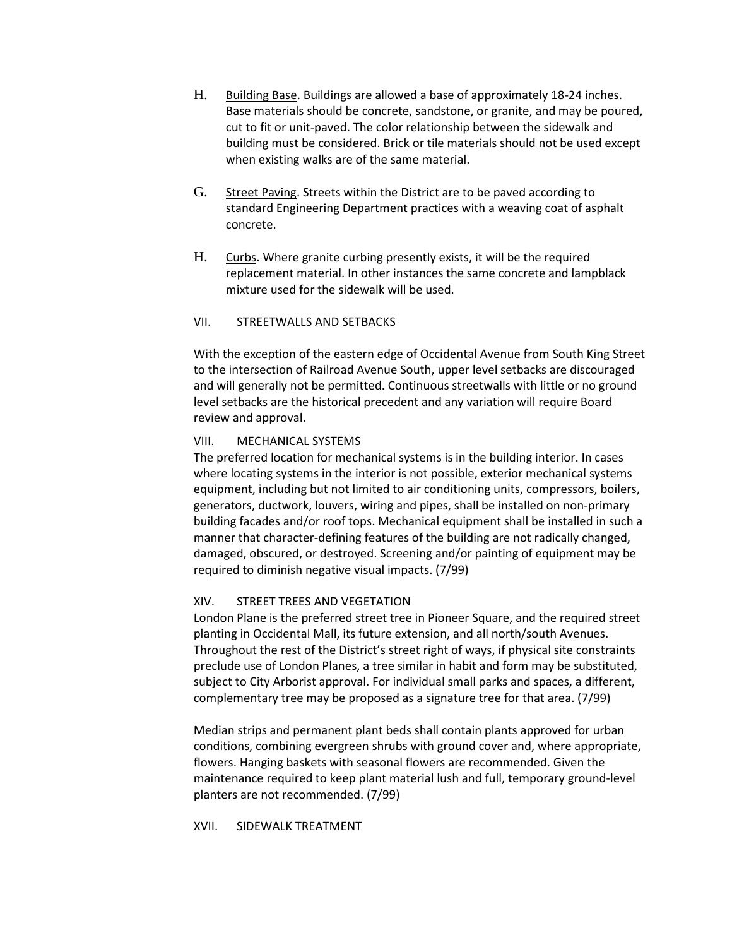- H. Building Base. Buildings are allowed a base of approximately 18-24 inches. Base materials should be concrete, sandstone, or granite, and may be poured, cut to fit or unit-paved. The color relationship between the sidewalk and building must be considered. Brick or tile materials should not be used except when existing walks are of the same material.
- G. Street Paving. Streets within the District are to be paved according to standard Engineering Department practices with a weaving coat of asphalt concrete.
- H. Curbs. Where granite curbing presently exists, it will be the required replacement material. In other instances the same concrete and lampblack mixture used for the sidewalk will be used.

# VII. STREETWALLS AND SETBACKS

With the exception of the eastern edge of Occidental Avenue from South King Street to the intersection of Railroad Avenue South, upper level setbacks are discouraged and will generally not be permitted. Continuous streetwalls with little or no ground level setbacks are the historical precedent and any variation will require Board review and approval.

# VIII. MECHANICAL SYSTEMS

The preferred location for mechanical systems is in the building interior. In cases where locating systems in the interior is not possible, exterior mechanical systems equipment, including but not limited to air conditioning units, compressors, boilers, generators, ductwork, louvers, wiring and pipes, shall be installed on non-primary building facades and/or roof tops. Mechanical equipment shall be installed in such a manner that character-defining features of the building are not radically changed, damaged, obscured, or destroyed. Screening and/or painting of equipment may be required to diminish negative visual impacts. (7/99)

# XIV. STREET TREES AND VEGETATION

London Plane is the preferred street tree in Pioneer Square, and the required street planting in Occidental Mall, its future extension, and all north/south Avenues. Throughout the rest of the District's street right of ways, if physical site constraints preclude use of London Planes, a tree similar in habit and form may be substituted, subject to City Arborist approval. For individual small parks and spaces, a different, complementary tree may be proposed as a signature tree for that area. (7/99)

Median strips and permanent plant beds shall contain plants approved for urban conditions, combining evergreen shrubs with ground cover and, where appropriate, flowers. Hanging baskets with seasonal flowers are recommended. Given the maintenance required to keep plant material lush and full, temporary ground-level planters are not recommended. (7/99)

XVII. SIDEWALK TREATMENT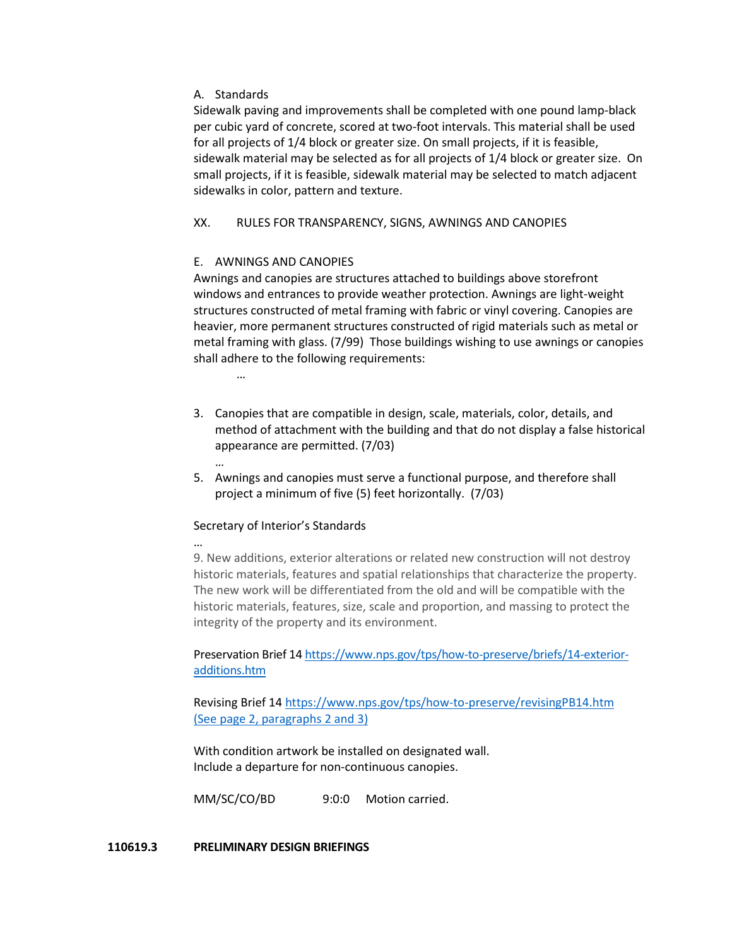# A. Standards

Sidewalk paving and improvements shall be completed with one pound lamp-black per cubic yard of concrete, scored at two-foot intervals. This material shall be used for all projects of 1/4 block or greater size. On small projects, if it is feasible, sidewalk material may be selected as for all projects of 1/4 block or greater size. On small projects, if it is feasible, sidewalk material may be selected to match adjacent sidewalks in color, pattern and texture.

# XX. RULES FOR TRANSPARENCY, SIGNS, AWNINGS AND CANOPIES

# E. AWNINGS AND CANOPIES

Awnings and canopies are structures attached to buildings above storefront windows and entrances to provide weather protection. Awnings are light-weight structures constructed of metal framing with fabric or vinyl covering. Canopies are heavier, more permanent structures constructed of rigid materials such as metal or metal framing with glass. (7/99) Those buildings wishing to use awnings or canopies shall adhere to the following requirements:

…

…

- 3. Canopies that are compatible in design, scale, materials, color, details, and method of attachment with the building and that do not display a false historical appearance are permitted. (7/03)
- 5. Awnings and canopies must serve a functional purpose, and therefore shall project a minimum of five (5) feet horizontally. (7/03)

# Secretary of Interior's Standards

… 9. New additions, exterior alterations or related new construction will not destroy historic materials, features and spatial relationships that characterize the property. The new work will be differentiated from the old and will be compatible with the historic materials, features, size, scale and proportion, and massing to protect the integrity of the property and its environment.

Preservation Brief 14 [https://www.nps.gov/tps/how-to-preserve/briefs/14-exterior](https://www.nps.gov/tps/how-to-preserve/briefs/14-exterior-additions.htm)[additions.htm](https://www.nps.gov/tps/how-to-preserve/briefs/14-exterior-additions.htm)

Revising Brief 1[4 https://www.nps.gov/tps/how-to-preserve/revisingPB14.htm](https://www.nps.gov/tps/how-to-preserve/revisingPB14.htm) (See page 2, paragraphs 2 and 3)

With condition artwork be installed on designated wall. Include a departure for non-continuous canopies.

MM/SC/CO/BD 9:0:0 Motion carried.

# **110619.3 PRELIMINARY DESIGN BRIEFINGS**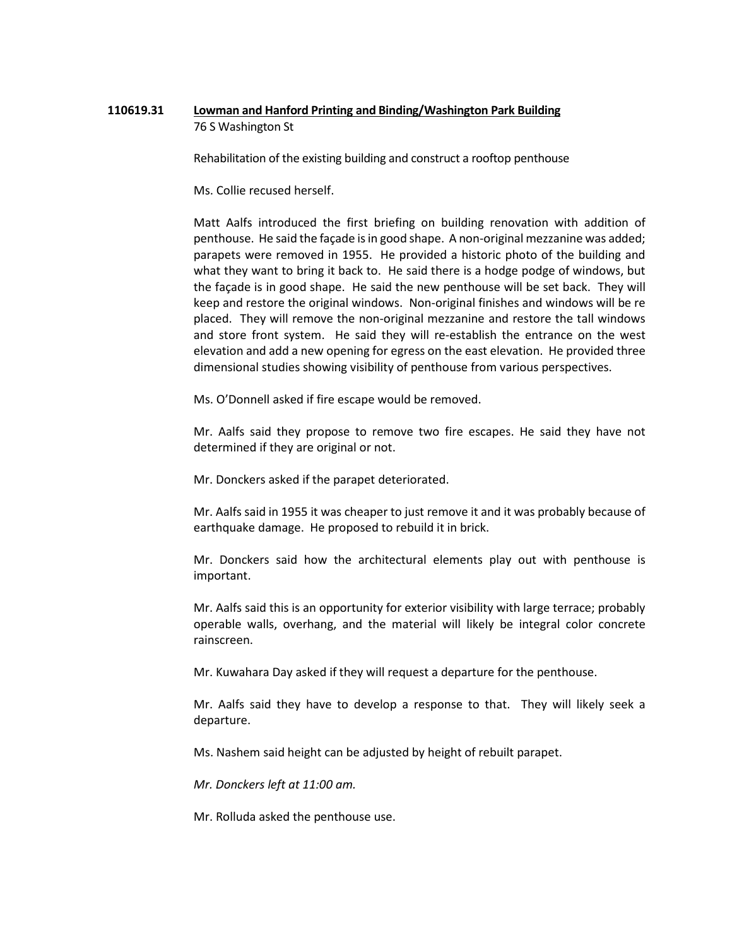# **110619.31 Lowman and Hanford Printing and Binding/Washington Park Building** 76 S Washington St

Rehabilitation of the existing building and construct a rooftop penthouse

Ms. Collie recused herself.

Matt Aalfs introduced the first briefing on building renovation with addition of penthouse. He said the façade is in good shape. A non-original mezzanine was added; parapets were removed in 1955. He provided a historic photo of the building and what they want to bring it back to. He said there is a hodge podge of windows, but the façade is in good shape. He said the new penthouse will be set back. They will keep and restore the original windows. Non-original finishes and windows will be re placed. They will remove the non-original mezzanine and restore the tall windows and store front system. He said they will re-establish the entrance on the west elevation and add a new opening for egress on the east elevation. He provided three dimensional studies showing visibility of penthouse from various perspectives.

Ms. O'Donnell asked if fire escape would be removed.

Mr. Aalfs said they propose to remove two fire escapes. He said they have not determined if they are original or not.

Mr. Donckers asked if the parapet deteriorated.

Mr. Aalfs said in 1955 it was cheaper to just remove it and it was probably because of earthquake damage. He proposed to rebuild it in brick.

Mr. Donckers said how the architectural elements play out with penthouse is important.

Mr. Aalfs said this is an opportunity for exterior visibility with large terrace; probably operable walls, overhang, and the material will likely be integral color concrete rainscreen.

Mr. Kuwahara Day asked if they will request a departure for the penthouse.

Mr. Aalfs said they have to develop a response to that. They will likely seek a departure.

Ms. Nashem said height can be adjusted by height of rebuilt parapet.

*Mr. Donckers left at 11:00 am.*

Mr. Rolluda asked the penthouse use.